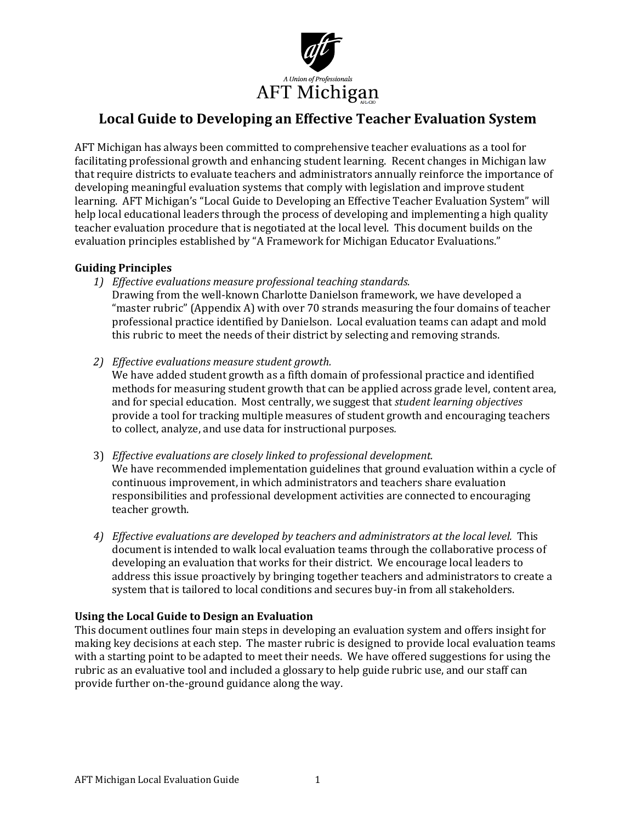

# Local Guide to Developing an Effective Teacher Evaluation System

AFT Michigan has always been committed to comprehensive teacher evaluations as a tool for facilitating professional growth and enhancing student learning. Recent changes in Michigan law that require districts to evaluate teachers and administrators annually reinforce the importance of developing meaningful evaluation systems that comply with legislation and improve student learning. AFT Michigan's "Local Guide to Developing an Effective Teacher Evaluation System" will help local educational leaders through the process of developing and implementing a high quality teacher evaluation procedure that is negotiated at the local level. This document builds on the evaluation principles established by "A Framework for Michigan Educator Evaluations."

## Guiding Principles

- 1) Effective evaluations measure professional teaching standards.
	- Drawing from the well-known Charlotte Danielson framework, we have developed a "master rubric" (Appendix A) with over 70 strands measuring the four domains of teacher professional practice identified by Danielson. Local evaluation teams can adapt and mold this rubric to meet the needs of their district by selecting and removing strands.
- 2) Effective evaluations measure student growth.

We have added student growth as a fifth domain of professional practice and identified methods for measuring student growth that can be applied across grade level, content area, and for special education. Most centrally, we suggest that student learning objectives provide a tool for tracking multiple measures of student growth and encouraging teachers to collect, analyze, and use data for instructional purposes.

- 3) Effective evaluations are closely linked to professional development. We have recommended implementation guidelines that ground evaluation within a cycle of continuous improvement, in which administrators and teachers share evaluation responsibilities and professional development activities are connected to encouraging teacher growth.
- 4) Effective evaluations are developed by teachers and administrators at the local level. This document is intended to walk local evaluation teams through the collaborative process of developing an evaluation that works for their district. We encourage local leaders to address this issue proactively by bringing together teachers and administrators to create a system that is tailored to local conditions and secures buy-in from all stakeholders.

## Using the Local Guide to Design an Evaluation

This document outlines four main steps in developing an evaluation system and offers insight for making key decisions at each step. The master rubric is designed to provide local evaluation teams with a starting point to be adapted to meet their needs. We have offered suggestions for using the rubric as an evaluative tool and included a glossary to help guide rubric use, and our staff can provide further on-the-ground guidance along the way.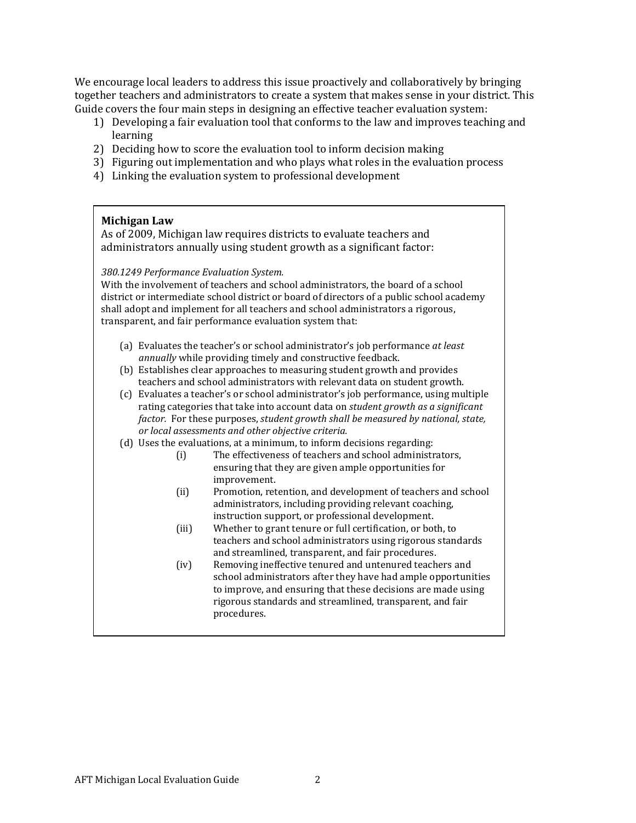We encourage local leaders to address this issue proactively and collaboratively by bringing together teachers and administrators to create a system that makes sense in your district. This Guide covers the four main steps in designing an effective teacher evaluation system:

- 1) Developing a fair evaluation tool that conforms to the law and improves teaching and learning
- 2) Deciding how to score the evaluation tool to inform decision making
- 3) Figuring out implementation and who plays what roles in the evaluation process
- 4) Linking the evaluation system to professional development

#### Michigan Law

As of 2009, Michigan law requires districts to evaluate teachers and administrators annually using student growth as a significant factor:

#### 380.1249 Performance Evaluation System.

With the involvement of teachers and school administrators, the board of a school district or intermediate school district or board of directors of a public school academy shall adopt and implement for all teachers and school administrators a rigorous, transparent, and fair performance evaluation system that:

- (a) Evaluates the teacher's or school administrator's job performance at least annually while providing timely and constructive feedback.
- (b) Establishes clear approaches to measuring student growth and provides teachers and school administrators with relevant data on student growth.
- (c) Evaluates a teacher's or school administrator's job performance, using multiple rating categories that take into account data on student growth as a significant factor. For these purposes, student growth shall be measured by national, state, or local assessments and other objective criteria.
- (d) Uses the evaluations, at a minimum, to inform decisions regarding:
	- (i) The effectiveness of teachers and school administrators, ensuring that they are given ample opportunities for improvement.
	- (ii) Promotion, retention, and development of teachers and school administrators, including providing relevant coaching, instruction support, or professional development.
	- (iii) Whether to grant tenure or full certification, or both, to teachers and school administrators using rigorous standards and streamlined, transparent, and fair procedures.
	- (iv) Removing ineffective tenured and untenured teachers and school administrators after they have had ample opportunities to improve, and ensuring that these decisions are made using rigorous standards and streamlined, transparent, and fair procedures.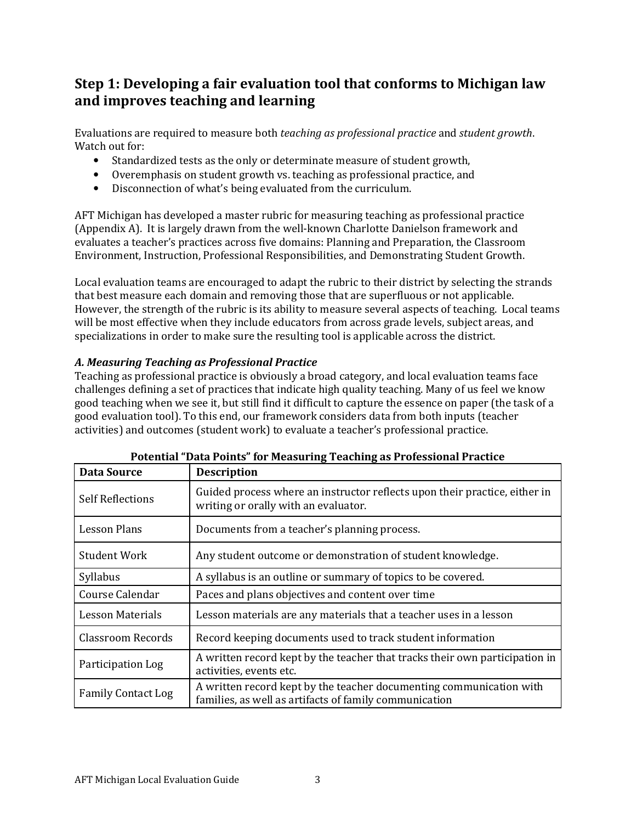# Step 1: Developing a fair evaluation tool that conforms to Michigan law and improves teaching and learning

Evaluations are required to measure both teaching as professional practice and student growth. Watch out for:

- Standardized tests as the only or determinate measure of student growth,
- Overemphasis on student growth vs. teaching as professional practice, and
- Disconnection of what's being evaluated from the curriculum.

AFT Michigan has developed a master rubric for measuring teaching as professional practice (Appendix A). It is largely drawn from the well-known Charlotte Danielson framework and evaluates a teacher's practices across five domains: Planning and Preparation, the Classroom Environment, Instruction, Professional Responsibilities, and Demonstrating Student Growth.

Local evaluation teams are encouraged to adapt the rubric to their district by selecting the strands that best measure each domain and removing those that are superfluous or not applicable. However, the strength of the rubric is its ability to measure several aspects of teaching. Local teams will be most effective when they include educators from across grade levels, subject areas, and specializations in order to make sure the resulting tool is applicable across the district.

## A. Measuring Teaching as Professional Practice

Teaching as professional practice is obviously a broad category, and local evaluation teams face challenges defining a set of practices that indicate high quality teaching. Many of us feel we know good teaching when we see it, but still find it difficult to capture the essence on paper (the task of a good evaluation tool). To this end, our framework considers data from both inputs (teacher activities) and outcomes (student work) to evaluate a teacher's professional practice.

| <b>Data Source</b>        | <b>Description</b>                                                                                                            |  |  |
|---------------------------|-------------------------------------------------------------------------------------------------------------------------------|--|--|
| <b>Self Reflections</b>   | Guided process where an instructor reflects upon their practice, either in<br>writing or orally with an evaluator.            |  |  |
| <b>Lesson Plans</b>       | Documents from a teacher's planning process.                                                                                  |  |  |
| <b>Student Work</b>       | Any student outcome or demonstration of student knowledge.                                                                    |  |  |
| Syllabus                  | A syllabus is an outline or summary of topics to be covered.                                                                  |  |  |
| Course Calendar           | Paces and plans objectives and content over time                                                                              |  |  |
| <b>Lesson Materials</b>   | Lesson materials are any materials that a teacher uses in a lesson                                                            |  |  |
| <b>Classroom Records</b>  | Record keeping documents used to track student information                                                                    |  |  |
| Participation Log         | A written record kept by the teacher that tracks their own participation in<br>activities, events etc.                        |  |  |
| <b>Family Contact Log</b> | A written record kept by the teacher documenting communication with<br>families, as well as artifacts of family communication |  |  |

## Potential "Data Points" for Measuring Teaching as Professional Practice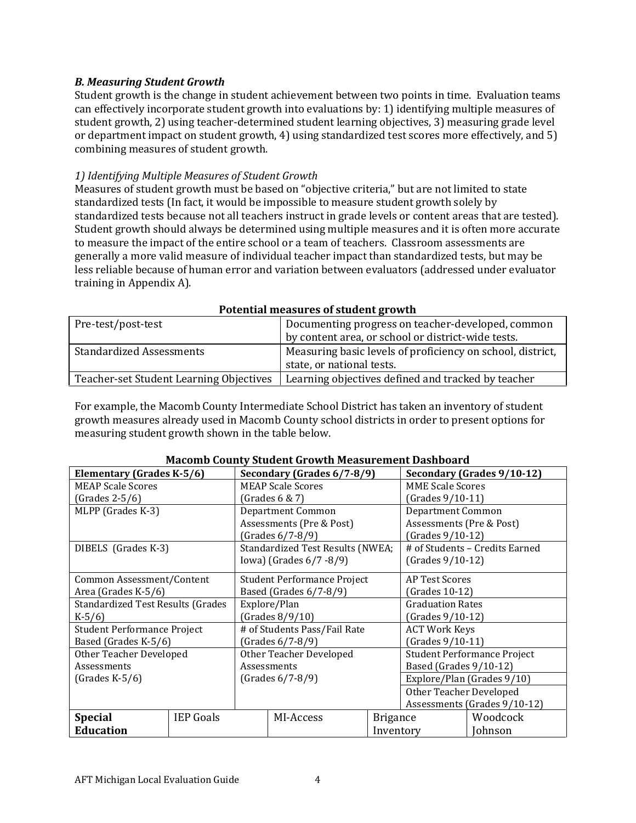## B. Measuring Student Growth

Student growth is the change in student achievement between two points in time. Evaluation teams can effectively incorporate student growth into evaluations by: 1) identifying multiple measures of student growth, 2) using teacher-determined student learning objectives, 3) measuring grade level or department impact on student growth, 4) using standardized test scores more effectively, and 5) combining measures of student growth.

### 1) Identifying Multiple Measures of Student Growth

Measures of student growth must be based on "objective criteria," but are not limited to state standardized tests (In fact, it would be impossible to measure student growth solely by standardized tests because not all teachers instruct in grade levels or content areas that are tested). Student growth should always be determined using multiple measures and it is often more accurate to measure the impact of the entire school or a team of teachers. Classroom assessments are generally a more valid measure of individual teacher impact than standardized tests, but may be less reliable because of human error and variation between evaluators (addressed under evaluator training in Appendix A).

|                                         | T otchtial measures of student growth                      |
|-----------------------------------------|------------------------------------------------------------|
| Pre-test/post-test                      | Documenting progress on teacher-developed, common          |
|                                         | by content area, or school or district-wide tests.         |
| <b>Standardized Assessments</b>         | Measuring basic levels of proficiency on school, district, |
|                                         | state, or national tests.                                  |
| Teacher-set Student Learning Objectives | Learning objectives defined and tracked by teacher         |

#### Potential measures of student growth

For example, the Macomb County Intermediate School District has taken an inventory of student growth measures already used in Macomb County school districts in order to present options for measuring student growth shown in the table below.

| <u>Macollib County Student Growth Measurement Dashboard</u> |                  |                              |                                  |                             |                              |                                |
|-------------------------------------------------------------|------------------|------------------------------|----------------------------------|-----------------------------|------------------------------|--------------------------------|
| <b>Elementary (Grades K-5/6)</b>                            |                  | Secondary (Grades 6/7-8/9)   |                                  |                             |                              | Secondary (Grades 9/10-12)     |
| <b>MEAP Scale Scores</b>                                    |                  | <b>MEAP Scale Scores</b>     |                                  |                             | <b>MME Scale Scores</b>      |                                |
| (Grades 2-5/6)                                              |                  |                              | (Grades $6 & 7$ )                |                             | (Grades 9/10-11)             |                                |
| MLPP (Grades K-3)                                           |                  |                              | Department Common                |                             | <b>Department Common</b>     |                                |
|                                                             |                  |                              | Assessments (Pre & Post)         |                             | Assessments (Pre & Post)     |                                |
|                                                             |                  |                              | (Grades 6/7-8/9)                 |                             | (Grades 9/10-12)             |                                |
| DIBELS (Grades K-3)                                         |                  |                              | Standardized Test Results (NWEA; |                             |                              | # of Students - Credits Earned |
|                                                             |                  |                              | Iowa) (Grades 6/7 -8/9)          |                             | (Grades 9/10-12)             |                                |
| Common Assessment/Content                                   |                  | Student Performance Project  |                                  | AP Test Scores              |                              |                                |
| Area (Grades K-5/6)                                         |                  | Based (Grades 6/7-8/9)       |                                  | (Grades 10-12)              |                              |                                |
| <b>Standardized Test Results (Grades</b>                    |                  | Explore/Plan                 |                                  | <b>Graduation Rates</b>     |                              |                                |
| $K-5/6$                                                     |                  | (Grades 8/9/10)              |                                  | (Grades 9/10-12)            |                              |                                |
| Student Performance Project                                 |                  | # of Students Pass/Fail Rate |                                  | <b>ACT Work Keys</b>        |                              |                                |
| Based (Grades K-5/6)                                        |                  | (Grades 6/7-8/9)             |                                  | (Grades 9/10-11)            |                              |                                |
| Other Teacher Developed                                     |                  | Other Teacher Developed      |                                  | Student Performance Project |                              |                                |
| Assessments                                                 |                  | Assessments                  |                                  | Based (Grades 9/10-12)      |                              |                                |
| $(Grades K-5/6)$                                            |                  | (Grades 6/7-8/9)             |                                  | Explore/Plan (Grades 9/10)  |                              |                                |
|                                                             |                  |                              |                                  | Other Teacher Developed     |                              |                                |
|                                                             |                  |                              |                                  |                             | Assessments (Grades 9/10-12) |                                |
| <b>Special</b>                                              | <b>IEP Goals</b> |                              | MI-Access                        | <b>Brigance</b>             |                              | Woodcock                       |
| <b>Education</b>                                            |                  |                              |                                  | Inventory                   |                              | Johnson                        |

## Macomb County Student Growth Measurement Dashboard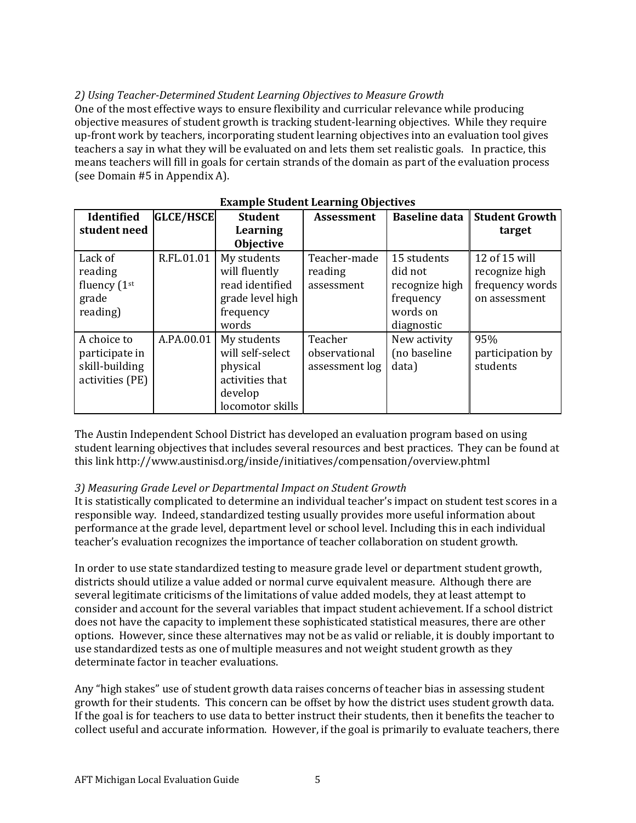## 2) Using Teacher-Determined Student Learning Objectives to Measure Growth

One of the most effective ways to ensure flexibility and curricular relevance while producing objective measures of student growth is tracking student-learning objectives. While they require up-front work by teachers, incorporating student learning objectives into an evaluation tool gives teachers a say in what they will be evaluated on and lets them set realistic goals. In practice, this means teachers will fill in goals for certain strands of the domain as part of the evaluation process (see Domain #5 in Appendix A).

| <b>Identified</b> | <b>GLCE/HSCE</b> | <b>Student</b>   | <b>Assessment</b> | <b>Baseline data</b> | <b>Student Growth</b> |
|-------------------|------------------|------------------|-------------------|----------------------|-----------------------|
| student need      |                  | Learning         |                   |                      | target                |
|                   |                  | <b>Objective</b> |                   |                      |                       |
| Lack of           | R.FL.01.01       | My students      | Teacher-made      | 15 students          | 12 of 15 will         |
| reading           |                  | will fluently    | reading           | did not              | recognize high        |
| fluency (1st      |                  | read identified  | assessment        | recognize high       | frequency words       |
| grade             |                  | grade level high |                   | frequency            | on assessment         |
| reading)          |                  | frequency        |                   | words on             |                       |
|                   |                  | words            |                   | diagnostic           |                       |
| A choice to       | A.PA.00.01       | My students      | Teacher           | New activity         | 95%                   |
| participate in    |                  | will self-select | observational     | (no baseline         | participation by      |
| skill-building    |                  | physical         | assessment log    | data)                | students              |
| activities (PE)   |                  | activities that  |                   |                      |                       |
|                   |                  | develop          |                   |                      |                       |
|                   |                  | locomotor skills |                   |                      |                       |

#### Example Student Learning Objectives

The Austin Independent School District has developed an evaluation program based on using student learning objectives that includes several resources and best practices. They can be found at this link http://www.austinisd.org/inside/initiatives/compensation/overview.phtml

## 3) Measuring Grade Level or Departmental Impact on Student Growth

It is statistically complicated to determine an individual teacher's impact on student test scores in a responsible way. Indeed, standardized testing usually provides more useful information about performance at the grade level, department level or school level. Including this in each individual teacher's evaluation recognizes the importance of teacher collaboration on student growth.

In order to use state standardized testing to measure grade level or department student growth, districts should utilize a value added or normal curve equivalent measure. Although there are several legitimate criticisms of the limitations of value added models, they at least attempt to consider and account for the several variables that impact student achievement. If a school district does not have the capacity to implement these sophisticated statistical measures, there are other options. However, since these alternatives may not be as valid or reliable, it is doubly important to use standardized tests as one of multiple measures and not weight student growth as they determinate factor in teacher evaluations.

Any "high stakes" use of student growth data raises concerns of teacher bias in assessing student growth for their students. This concern can be offset by how the district uses student growth data. If the goal is for teachers to use data to better instruct their students, then it benefits the teacher to collect useful and accurate information. However, if the goal is primarily to evaluate teachers, there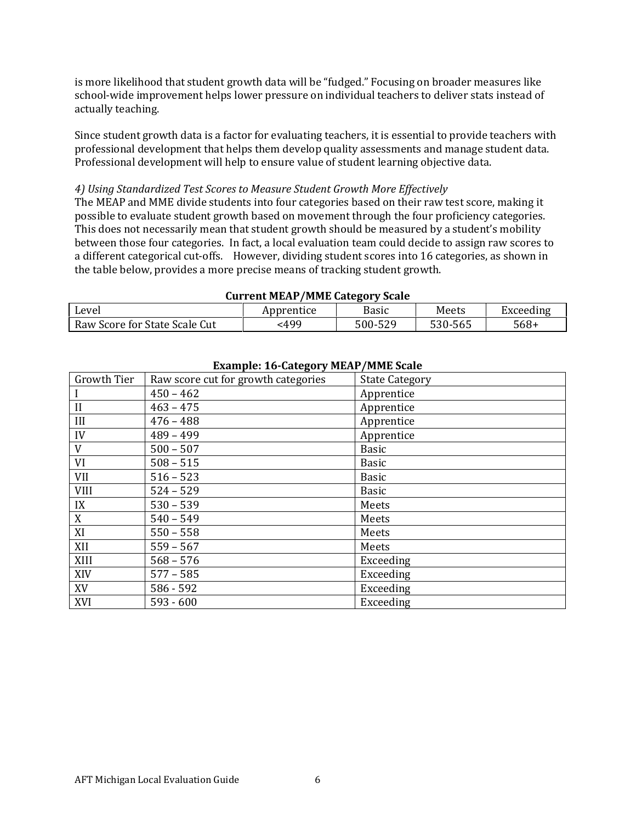is more likelihood that student growth data will be "fudged." Focusing on broader measures like school-wide improvement helps lower pressure on individual teachers to deliver stats instead of actually teaching.

Since student growth data is a factor for evaluating teachers, it is essential to provide teachers with professional development that helps them develop quality assessments and manage student data. Professional development will help to ensure value of student learning objective data.

#### 4) Using Standardized Test Scores to Measure Student Growth More Effectively

The MEAP and MME divide students into four categories based on their raw test score, making it possible to evaluate student growth based on movement through the four proficiency categories. This does not necessarily mean that student growth should be measured by a student's mobility between those four categories. In fact, a local evaluation team could decide to assign raw scores to a different categorical cut-offs. However, dividing student scores into 16 categories, as shown in the table below, provides a more precise means of tracking student growth.

| Garrent Plant Trible Gategory State |            |         |         |           |  |  |
|-------------------------------------|------------|---------|---------|-----------|--|--|
| Level                               | Apprentice | Basic   | Meets   | Exceeding |  |  |
| Raw Score for State Scale Cut       | :499       | 500-529 | 530-565 | $568+$    |  |  |

Current MEAP/MME Category Scale

|             | $\frac{1}{2}$                       |                       |
|-------------|-------------------------------------|-----------------------|
| Growth Tier | Raw score cut for growth categories | <b>State Category</b> |
|             | $450 - 462$                         | Apprentice            |
| II          | $463 - 475$                         | Apprentice            |
| III         | $476 - 488$                         | Apprentice            |
| IV          | $489 - 499$                         | Apprentice            |
| V           | $500 - 507$                         | <b>Basic</b>          |
| VI          | $508 - 515$                         | <b>Basic</b>          |
| <b>VII</b>  | $516 - 523$                         | <b>Basic</b>          |
| <b>VIII</b> | $524 - 529$                         | <b>Basic</b>          |
| IX          | $530 - 539$                         | Meets                 |
| X           | $540 - 549$                         | Meets                 |
| XI          | $550 - 558$                         | Meets                 |
| XII         | $559 - 567$                         | Meets                 |
| XIII        | $568 - 576$                         | Exceeding             |
| XIV         | $577 - 585$                         | Exceeding             |
| XV          | $586 - 592$                         | Exceeding             |
| XVI         | $593 - 600$                         | Exceeding             |

## Example: 16-Category MEAP/MME Scale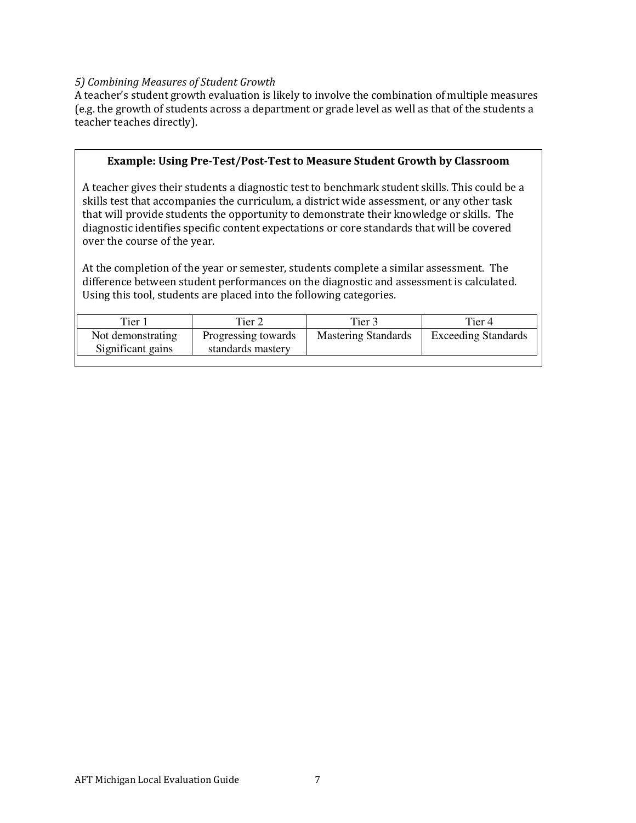#### 5) Combining Measures of Student Growth

A teacher's student growth evaluation is likely to involve the combination of multiple measures (e.g. the growth of students across a department or grade level as well as that of the students a teacher teaches directly).

#### Example: Using Pre-Test/Post-Test to Measure Student Growth by Classroom

A teacher gives their students a diagnostic test to benchmark student skills. This could be a skills test that accompanies the curriculum, a district wide assessment, or any other task that will provide students the opportunity to demonstrate their knowledge or skills. The diagnostic identifies specific content expectations or core standards that will be covered over the course of the year.

At the completion of the year or semester, students complete a similar assessment. The difference between student performances on the diagnostic and assessment is calculated. Using this tool, students are placed into the following categories.

| Tier 1            | Tier 2              | Tier 3                     | Tier 4                     |
|-------------------|---------------------|----------------------------|----------------------------|
| Not demonstrating | Progressing towards | <b>Mastering Standards</b> | <b>Exceeding Standards</b> |
| Significant gains | standards mastery   |                            |                            |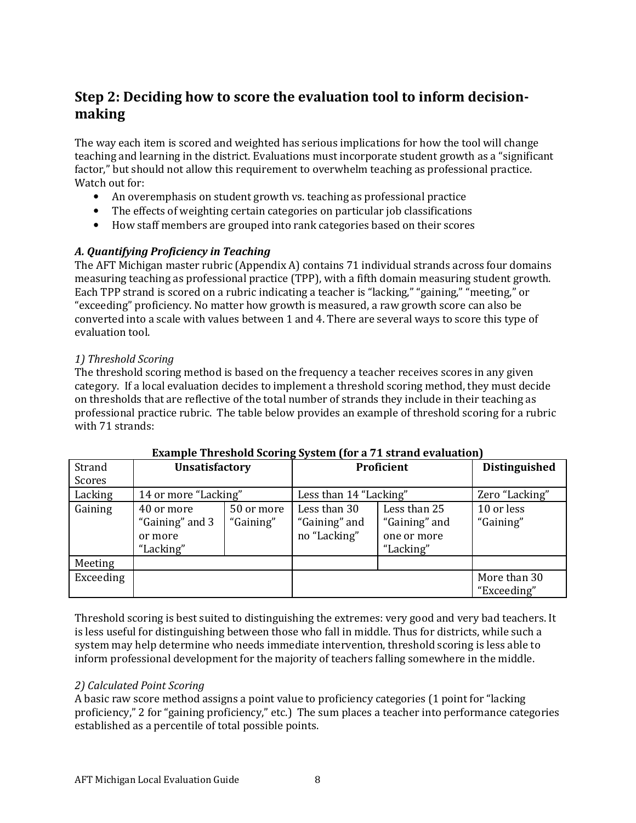## Step 2: Deciding how to score the evaluation tool to inform decisionmaking

The way each item is scored and weighted has serious implications for how the tool will change teaching and learning in the district. Evaluations must incorporate student growth as a "significant factor," but should not allow this requirement to overwhelm teaching as professional practice. Watch out for:

- An overemphasis on student growth vs. teaching as professional practice
- The effects of weighting certain categories on particular job classifications
- How staff members are grouped into rank categories based on their scores

## A. Quantifying Proficiency in Teaching

The AFT Michigan master rubric (Appendix A) contains 71 individual strands across four domains measuring teaching as professional practice (TPP), with a fifth domain measuring student growth. Each TPP strand is scored on a rubric indicating a teacher is "lacking," "gaining," "meeting," or "exceeding" proficiency. No matter how growth is measured, a raw growth score can also be converted into a scale with values between 1 and 4. There are several ways to score this type of evaluation tool.

#### 1) Threshold Scoring

The threshold scoring method is based on the frequency a teacher receives scores in any given category. If a local evaluation decides to implement a threshold scoring method, they must decide on thresholds that are reflective of the total number of strands they include in their teaching as professional practice rubric. The table below provides an example of threshold scoring for a rubric with 71 strands:

| Strand    | <b>Unsatisfactory</b> |            | Proficient             |               | <b>Distinguished</b> |
|-----------|-----------------------|------------|------------------------|---------------|----------------------|
| Scores    |                       |            |                        |               |                      |
| Lacking   | 14 or more "Lacking"  |            | Less than 14 "Lacking" |               | Zero "Lacking"       |
| Gaining   | 40 or more            | 50 or more | Less than 30           | Less than 25  | 10 or less           |
|           | "Gaining" and 3       | "Gaining"  | "Gaining" and          | "Gaining" and | "Gaining"            |
|           | or more               |            | no "Lacking"           | one or more   |                      |
|           | "Lacking"             |            |                        | "Lacking"     |                      |
| Meeting   |                       |            |                        |               |                      |
| Exceeding |                       |            |                        |               | More than 30         |
|           |                       |            |                        |               | "Exceeding"          |

#### Example Threshold Scoring System (for a 71 strand evaluation)

Threshold scoring is best suited to distinguishing the extremes: very good and very bad teachers. It is less useful for distinguishing between those who fall in middle. Thus for districts, while such a system may help determine who needs immediate intervention, threshold scoring is less able to inform professional development for the majority of teachers falling somewhere in the middle.

## 2) Calculated Point Scoring

A basic raw score method assigns a point value to proficiency categories (1 point for "lacking proficiency," 2 for "gaining proficiency," etc.) The sum places a teacher into performance categories established as a percentile of total possible points.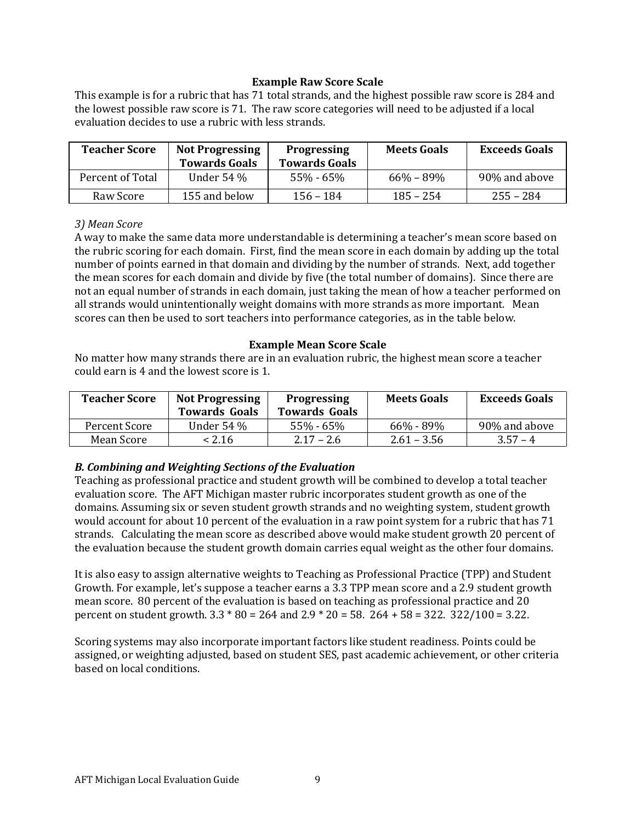### Example Raw Score Scale

This example is for a rubric that has 71 total strands, and the highest possible raw score is 284 and the lowest possible raw score is 71. The raw score categories will need to be adjusted if a local evaluation decides to use a rubric with less strands.

| <b>Teacher Score</b> | <b>Not Progressing</b><br><b>Towards Goals</b> | <b>Progressing</b><br><b>Towards Goals</b> | <b>Meets Goals</b> | <b>Exceeds Goals</b> |
|----------------------|------------------------------------------------|--------------------------------------------|--------------------|----------------------|
| Percent of Total     | Under 54 %                                     | $55\% - 65\%$                              | $66\% - 89\%$      | 90% and above        |
| Raw Score            | 155 and below                                  | $156 - 184$                                | $185 - 254$        | $255 - 284$          |

#### 3) Mean Score

A way to make the same data more understandable is determining a teacher's mean score based on the rubric scoring for each domain. First, find the mean score in each domain by adding up the total number of points earned in that domain and dividing by the number of strands. Next, add together the mean scores for each domain and divide by five (the total number of domains). Since there are not an equal number of strands in each domain, just taking the mean of how a teacher performed on all strands would unintentionally weight domains with more strands as more important. Mean scores can then be used to sort teachers into performance categories, as in the table below.

#### Example Mean Score Scale

No matter how many strands there are in an evaluation rubric, the highest mean score a teacher could earn is 4 and the lowest score is 1.

| <b>Teacher Score</b> | <b>Not Progressing</b><br><b>Towards Goals</b> | <b>Progressing</b><br><b>Towards Goals</b> | <b>Meets Goals</b> | <b>Exceeds Goals</b> |
|----------------------|------------------------------------------------|--------------------------------------------|--------------------|----------------------|
| Percent Score        | Under 54 %                                     | $55\% - 65\%$                              | 66% - 89%          | 90% and above        |
| Mean Score           | < 2.16                                         | $2.17 - 2.6$                               | $2.61 - 3.56$      | $3.57 - 4$           |

## B. Combining and Weighting Sections of the Evaluation

Teaching as professional practice and student growth will be combined to develop a total teacher evaluation score. The AFT Michigan master rubric incorporates student growth as one of the domains. Assuming six or seven student growth strands and no weighting system, student growth would account for about 10 percent of the evaluation in a raw point system for a rubric that has 71 strands. Calculating the mean score as described above would make student growth 20 percent of the evaluation because the student growth domain carries equal weight as the other four domains.

It is also easy to assign alternative weights to Teaching as Professional Practice (TPP) and Student Growth. For example, let's suppose a teacher earns a 3.3 TPP mean score and a 2.9 student growth mean score. 80 percent of the evaluation is based on teaching as professional practice and 20 percent on student growth. 3.3 \* 80 = 264 and 2.9 \* 20 = 58. 264 + 58 = 322. 322/100 = 3.22.

Scoring systems may also incorporate important factors like student readiness. Points could be assigned, or weighting adjusted, based on student SES, past academic achievement, or other criteria based on local conditions.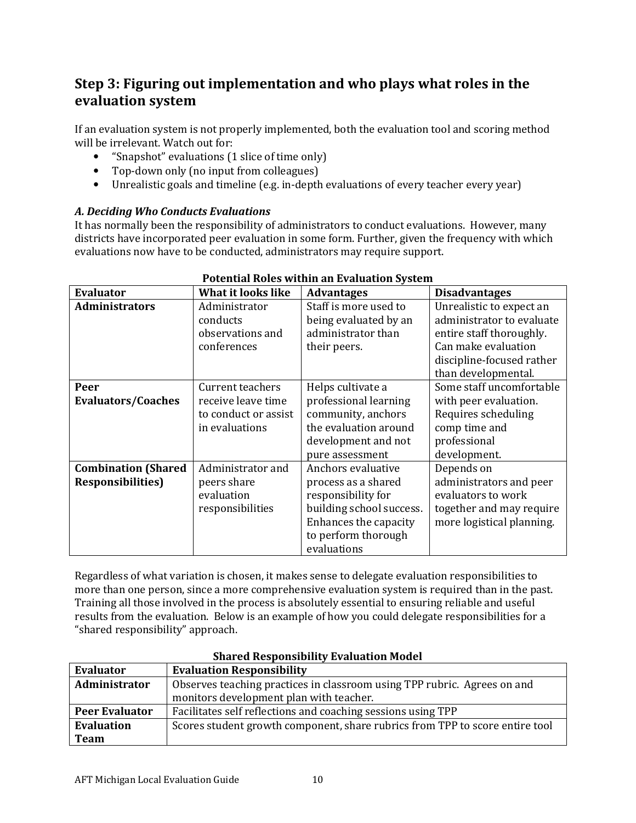## Step 3: Figuring out implementation and who plays what roles in the evaluation system

If an evaluation system is not properly implemented, both the evaluation tool and scoring method will be irrelevant. Watch out for:

- "Snapshot" evaluations (1 slice of time only)
- Top-down only (no input from colleagues)
- Unrealistic goals and timeline (e.g. in-depth evaluations of every teacher every year)

## A. Deciding Who Conducts Evaluations

It has normally been the responsibility of administrators to conduct evaluations. However, many districts have incorporated peer evaluation in some form. Further, given the frequency with which evaluations now have to be conducted, administrators may require support.

| <b>Evaluator</b>           | What it looks like   | <b>Advantages</b>        | <b>Disadvantages</b>      |
|----------------------------|----------------------|--------------------------|---------------------------|
| <b>Administrators</b>      | Administrator        | Staff is more used to    | Unrealistic to expect an  |
|                            | conducts             | being evaluated by an    | administrator to evaluate |
|                            | observations and     | administrator than       | entire staff thoroughly.  |
|                            | conferences          | their peers.             | Can make evaluation       |
|                            |                      |                          | discipline-focused rather |
|                            |                      |                          | than developmental.       |
| Peer                       | Current teachers     | Helps cultivate a        | Some staff uncomfortable  |
| <b>Evaluators/Coaches</b>  | receive leave time   | professional learning    | with peer evaluation.     |
|                            | to conduct or assist | community, anchors       | Requires scheduling       |
|                            | in evaluations       | the evaluation around    | comp time and             |
|                            |                      | development and not      | professional              |
|                            |                      | pure assessment          | development.              |
| <b>Combination (Shared</b> | Administrator and    | Anchors evaluative       | Depends on                |
| <b>Responsibilities</b> )  | peers share          | process as a shared      | administrators and peer   |
|                            | evaluation           | responsibility for       | evaluators to work        |
|                            | responsibilities     | building school success. | together and may require  |
|                            |                      | Enhances the capacity    | more logistical planning. |
|                            |                      | to perform thorough      |                           |
|                            |                      | evaluations              |                           |

## Potential Roles within an Evaluation System

Regardless of what variation is chosen, it makes sense to delegate evaluation responsibilities to more than one person, since a more comprehensive evaluation system is required than in the past. Training all those involved in the process is absolutely essential to ensuring reliable and useful results from the evaluation. Below is an example of how you could delegate responsibilities for a "shared responsibility" approach.

| <b>Evaluator</b>      | <b>Evaluation Responsibility</b>                                             |
|-----------------------|------------------------------------------------------------------------------|
| <b>Administrator</b>  | Observes teaching practices in classroom using TPP rubric. Agrees on and     |
|                       | monitors development plan with teacher.                                      |
| <b>Peer Evaluator</b> | Facilitates self reflections and coaching sessions using TPP                 |
| <b>Evaluation</b>     | Scores student growth component, share rubrics from TPP to score entire tool |
| <b>Team</b>           |                                                                              |

#### Shared Responsibility Evaluation Model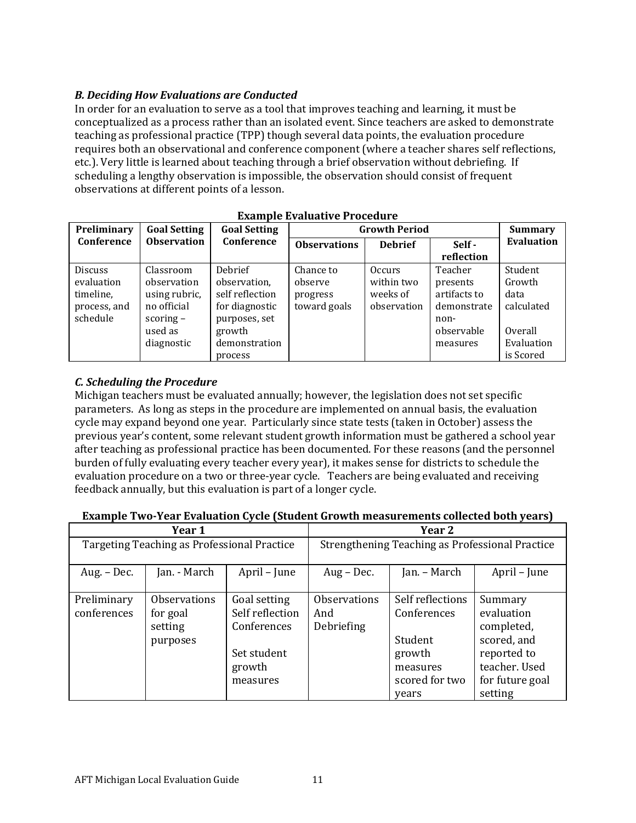## B. Deciding How Evaluations are Conducted

In order for an evaluation to serve as a tool that improves teaching and learning, it must be conceptualized as a process rather than an isolated event. Since teachers are asked to demonstrate teaching as professional practice (TPP) though several data points, the evaluation procedure requires both an observational and conference component (where a teacher shares self reflections, etc.). Very little is learned about teaching through a brief observation without debriefing. If scheduling a lengthy observation is impossible, the observation should consist of frequent observations at different points of a lesson.

|                | Ladilibic Lydiuative I Toccuule<br><b>Summary</b> |                     |                     |                         |              |                   |  |  |  |
|----------------|---------------------------------------------------|---------------------|---------------------|-------------------------|--------------|-------------------|--|--|--|
| Preliminary    | <b>Goal Setting</b>                               | <b>Goal Setting</b> |                     | <b>Growth Period</b>    |              |                   |  |  |  |
| Conference     | <b>Observation</b>                                | Conference          | <b>Observations</b> | Self-<br><b>Debrief</b> |              | <b>Evaluation</b> |  |  |  |
|                |                                                   |                     |                     |                         | reflection   |                   |  |  |  |
| <b>Discuss</b> | Classroom                                         | Debrief             | Chance to           | <b>Occurs</b>           | Teacher      | Student           |  |  |  |
| evaluation     | observation                                       | observation,        | observe             | within two              | presents     | Growth            |  |  |  |
| timeline,      | using rubric,                                     | self reflection     | progress            | weeks of                | artifacts to | data              |  |  |  |
| process, and   | no official                                       | for diagnostic      | toward goals        | observation             | demonstrate  | calculated        |  |  |  |
| schedule       | scoring $-$                                       | purposes, set       |                     |                         | non-         |                   |  |  |  |
|                | used as                                           | growth              |                     |                         | observable   | Overall           |  |  |  |
|                | diagnostic                                        | demonstration       |                     |                         | measures     | Evaluation        |  |  |  |
|                |                                                   | process             |                     |                         |              | is Scored         |  |  |  |

### Example Evaluative Procedure

## C. Scheduling the Procedure

Michigan teachers must be evaluated annually; however, the legislation does not set specific parameters. As long as steps in the procedure are implemented on annual basis, the evaluation cycle may expand beyond one year. Particularly since state tests (taken in October) assess the previous year's content, some relevant student growth information must be gathered a school year after teaching as professional practice has been documented. For these reasons (and the personnel burden of fully evaluating every teacher every year), it makes sense for districts to schedule the evaluation procedure on a two or three-year cycle. Teachers are being evaluated and receiving feedback annually, but this evaluation is part of a longer cycle.

#### Example Two-Year Evaluation Cycle (Student Growth measurements collected both years)

|                                             | Year 1                                                 |                                                                                     | Year 2                                          |                                                                                             |                                                                                                                  |
|---------------------------------------------|--------------------------------------------------------|-------------------------------------------------------------------------------------|-------------------------------------------------|---------------------------------------------------------------------------------------------|------------------------------------------------------------------------------------------------------------------|
| Targeting Teaching as Professional Practice |                                                        |                                                                                     | Strengthening Teaching as Professional Practice |                                                                                             |                                                                                                                  |
| Aug. - Dec.                                 | Jan. - March                                           | April – June                                                                        | $Aug - Dec.$                                    | Jan. – March                                                                                | April – June                                                                                                     |
| Preliminary<br>conferences                  | <b>Observations</b><br>for goal<br>setting<br>purposes | Goal setting<br>Self reflection<br>Conferences<br>Set student<br>growth<br>measures | <b>Observations</b><br>And<br>Debriefing        | Self reflections<br>Conferences<br>Student<br>growth<br>measures<br>scored for two<br>years | Summary<br>evaluation<br>completed,<br>scored, and<br>reported to<br>teacher. Used<br>for future goal<br>setting |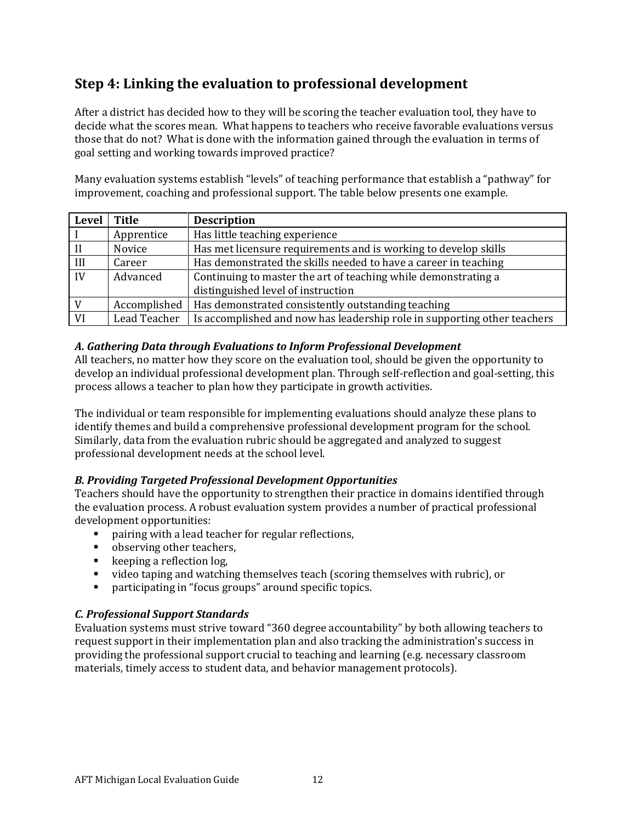# Step 4: Linking the evaluation to professional development

After a district has decided how to they will be scoring the teacher evaluation tool, they have to decide what the scores mean. What happens to teachers who receive favorable evaluations versus those that do not? What is done with the information gained through the evaluation in terms of goal setting and working towards improved practice?

Many evaluation systems establish "levels" of teaching performance that establish a "pathway" for improvement, coaching and professional support. The table below presents one example.

| Level          | Title        | <b>Description</b>                                                                                   |
|----------------|--------------|------------------------------------------------------------------------------------------------------|
|                | Apprentice   | Has little teaching experience                                                                       |
| $\prod$        | Novice       | Has met licensure requirements and is working to develop skills                                      |
| III            | Career       | Has demonstrated the skills needed to have a career in teaching                                      |
| IV             | Advanced     | Continuing to master the art of teaching while demonstrating a<br>distinguished level of instruction |
| $\overline{V}$ | Accomplished | Has demonstrated consistently outstanding teaching                                                   |
| <b>VI</b>      | Lead Teacher | Is accomplished and now has leadership role in supporting other teachers                             |

## A. Gathering Data through Evaluations to Inform Professional Development

All teachers, no matter how they score on the evaluation tool, should be given the opportunity to develop an individual professional development plan. Through self-reflection and goal-setting, this process allows a teacher to plan how they participate in growth activities.

The individual or team responsible for implementing evaluations should analyze these plans to identify themes and build a comprehensive professional development program for the school. Similarly, data from the evaluation rubric should be aggregated and analyzed to suggest professional development needs at the school level.

## B. Providing Targeted Professional Development Opportunities

Teachers should have the opportunity to strengthen their practice in domains identified through the evaluation process. A robust evaluation system provides a number of practical professional development opportunities:

- **•** pairing with a lead teacher for regular reflections,
- observing other teachers,
- **keeping a reflection log,**
- video taping and watching themselves teach (scoring themselves with rubric), or
- participating in "focus groups" around specific topics.

#### C. Professional Support Standards

Evaluation systems must strive toward "360 degree accountability" by both allowing teachers to request support in their implementation plan and also tracking the administration's success in providing the professional support crucial to teaching and learning (e.g. necessary classroom materials, timely access to student data, and behavior management protocols).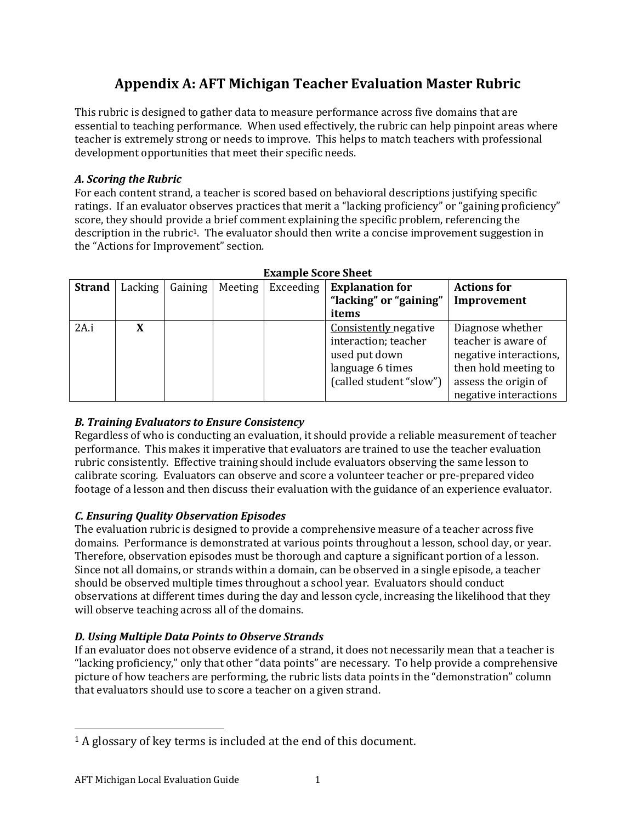# Appendix A: AFT Michigan Teacher Evaluation Master Rubric

This rubric is designed to gather data to measure performance across five domains that are essential to teaching performance. When used effectively, the rubric can help pinpoint areas where teacher is extremely strong or needs to improve. This helps to match teachers with professional development opportunities that meet their specific needs.

## A. Scoring the Rubric

For each content strand, a teacher is scored based on behavioral descriptions justifying specific ratings. If an evaluator observes practices that merit a "lacking proficiency" or "gaining proficiency" score, they should provide a brief comment explaining the specific problem, referencing the description in the rubric1. The evaluator should then write a concise improvement suggestion in the "Actions for Improvement" section.

|               | - Example Score Sneet |         |         |  |                             |                        |  |  |  |
|---------------|-----------------------|---------|---------|--|-----------------------------|------------------------|--|--|--|
| <b>Strand</b> | Lacking               | Gaining | Meeting |  | Exceeding   Explanation for | <b>Actions for</b>     |  |  |  |
|               |                       |         |         |  | "lacking" or "gaining"      | Improvement            |  |  |  |
|               |                       |         |         |  | items                       |                        |  |  |  |
| 2A.i          | X                     |         |         |  | Consistently negative       | Diagnose whether       |  |  |  |
|               |                       |         |         |  | interaction; teacher        | teacher is aware of    |  |  |  |
|               |                       |         |         |  | used put down               | negative interactions, |  |  |  |
|               |                       |         |         |  | language 6 times            | then hold meeting to   |  |  |  |
|               |                       |         |         |  | (called student "slow")     | assess the origin of   |  |  |  |
|               |                       |         |         |  |                             | negative interactions  |  |  |  |

## Example Score Sheet

## B. Training Evaluators to Ensure Consistency

Regardless of who is conducting an evaluation, it should provide a reliable measurement of teacher performance. This makes it imperative that evaluators are trained to use the teacher evaluation rubric consistently. Effective training should include evaluators observing the same lesson to calibrate scoring. Evaluators can observe and score a volunteer teacher or pre-prepared video footage of a lesson and then discuss their evaluation with the guidance of an experience evaluator.

## C. Ensuring Quality Observation Episodes

The evaluation rubric is designed to provide a comprehensive measure of a teacher across five domains. Performance is demonstrated at various points throughout a lesson, school day, or year. Therefore, observation episodes must be thorough and capture a significant portion of a lesson. Since not all domains, or strands within a domain, can be observed in a single episode, a teacher should be observed multiple times throughout a school year. Evaluators should conduct observations at different times during the day and lesson cycle, increasing the likelihood that they will observe teaching across all of the domains.

## D. Using Multiple Data Points to Observe Strands

If an evaluator does not observe evidence of a strand, it does not necessarily mean that a teacher is "lacking proficiency," only that other "data points" are necessary. To help provide a comprehensive picture of how teachers are performing, the rubric lists data points in the "demonstration" column that evaluators should use to score a teacher on a given strand.

 $\overline{a}$ <sup>1</sup> A glossary of key terms is included at the end of this document.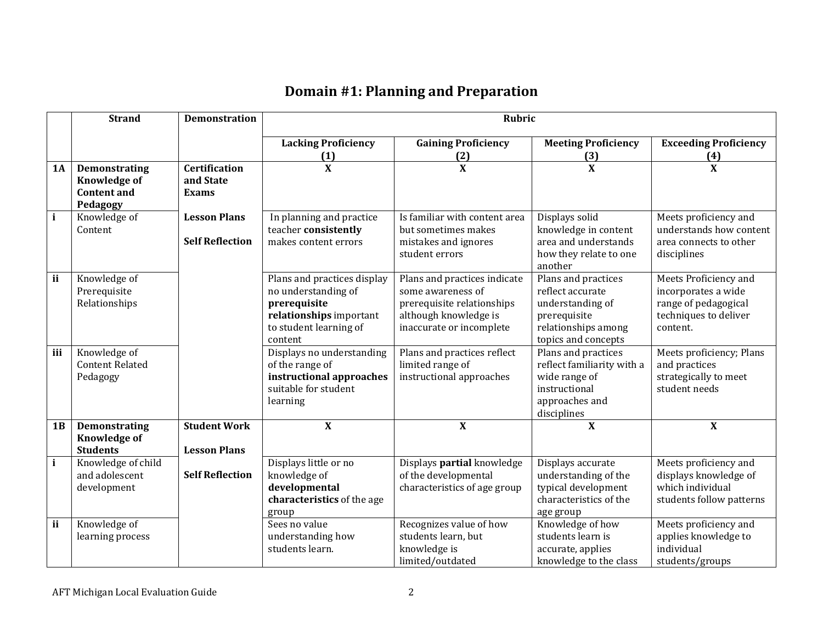## Domain #1: Planning and Preparation

|              | <b>Strand</b>                          | <b>Demonstration</b>   |                             | <b>Rubric</b>                 |                                   |                              |  |
|--------------|----------------------------------------|------------------------|-----------------------------|-------------------------------|-----------------------------------|------------------------------|--|
|              |                                        |                        | <b>Lacking Proficiency</b>  | <b>Gaining Proficiency</b>    | <b>Meeting Proficiency</b>        | <b>Exceeding Proficiency</b> |  |
|              |                                        |                        | (1)                         | (2)                           | (3)                               | (4)                          |  |
| <b>1A</b>    | Demonstrating                          | <b>Certification</b>   | $\bf{X}$                    | $\mathbf{X}$                  | $\overline{\mathbf{X}}$           | $\overline{\mathbf{X}}$      |  |
|              | <b>Knowledge of</b>                    | and State              |                             |                               |                                   |                              |  |
|              | <b>Content and</b>                     | <b>Exams</b>           |                             |                               |                                   |                              |  |
|              | Pedagogy                               |                        |                             |                               |                                   |                              |  |
| $\mathbf{i}$ | Knowledge of                           | <b>Lesson Plans</b>    | In planning and practice    | Is familiar with content area | Displays solid                    | Meets proficiency and        |  |
|              | Content                                |                        | teacher consistently        | but sometimes makes           | knowledge in content              | understands how content      |  |
|              |                                        | <b>Self Reflection</b> | makes content errors        | mistakes and ignores          | area and understands              | area connects to other       |  |
|              |                                        |                        |                             | student errors                | how they relate to one<br>another | disciplines                  |  |
| ii           | Knowledge of                           |                        | Plans and practices display | Plans and practices indicate  | Plans and practices               | Meets Proficiency and        |  |
|              | Prerequisite                           |                        | no understanding of         | some awareness of             | reflect accurate                  | incorporates a wide          |  |
|              | Relationships                          |                        | prerequisite                | prerequisite relationships    | understanding of                  | range of pedagogical         |  |
|              |                                        |                        | relationships important     | although knowledge is         | prerequisite                      | techniques to deliver        |  |
|              |                                        |                        | to student learning of      | inaccurate or incomplete      | relationships among               | content.                     |  |
|              |                                        |                        | content                     |                               | topics and concepts               |                              |  |
| iii          | Knowledge of                           |                        | Displays no understanding   | Plans and practices reflect   | Plans and practices               | Meets proficiency; Plans     |  |
|              | <b>Content Related</b>                 |                        | of the range of             | limited range of              | reflect familiarity with a        | and practices                |  |
|              | Pedagogy                               |                        | instructional approaches    | instructional approaches      | wide range of                     | strategically to meet        |  |
|              |                                        |                        | suitable for student        |                               | instructional                     | student needs                |  |
|              |                                        |                        | learning                    |                               | approaches and                    |                              |  |
|              |                                        |                        |                             |                               | disciplines                       |                              |  |
| 1B           | <b>Demonstrating</b>                   | <b>Student Work</b>    | $\overline{\mathbf{X}}$     | $\mathbf{X}$                  | $\overline{\mathbf{X}}$           | $\overline{\mathbf{X}}$      |  |
|              | <b>Knowledge of</b><br><b>Students</b> | <b>Lesson Plans</b>    |                             |                               |                                   |                              |  |
| $\mathbf{i}$ | Knowledge of child                     |                        | Displays little or no       | Displays partial knowledge    | Displays accurate                 | Meets proficiency and        |  |
|              | and adolescent                         | <b>Self Reflection</b> | knowledge of                | of the developmental          | understanding of the              | displays knowledge of        |  |
|              | development                            |                        | developmental               | characteristics of age group  | typical development               | which individual             |  |
|              |                                        |                        | characteristics of the age  |                               | characteristics of the            | students follow patterns     |  |
|              |                                        |                        | group                       |                               | age group                         |                              |  |
| ii           | Knowledge of                           |                        | Sees no value               | Recognizes value of how       | Knowledge of how                  | Meets proficiency and        |  |
|              | learning process                       |                        | understanding how           | students learn, but           | students learn is                 | applies knowledge to         |  |
|              |                                        |                        | students learn.             | knowledge is                  | accurate, applies                 | individual                   |  |
|              |                                        |                        |                             | limited/outdated              | knowledge to the class            | students/groups              |  |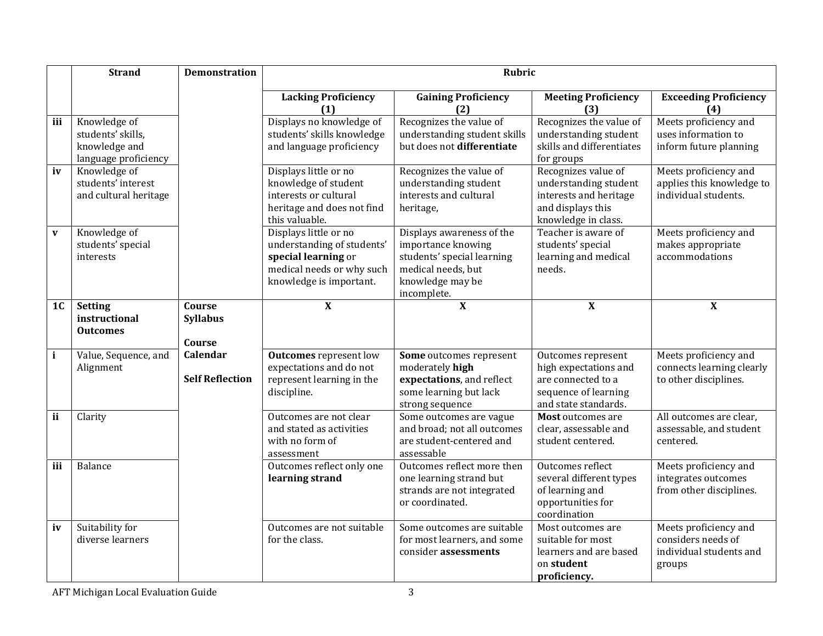|                | <b>Strand</b>                                                              | <b>Demonstration</b>                |                                                                                                                                    | <b>Rubric</b>                                                                                                                          |                                                                                                                    |                                                                                  |
|----------------|----------------------------------------------------------------------------|-------------------------------------|------------------------------------------------------------------------------------------------------------------------------------|----------------------------------------------------------------------------------------------------------------------------------------|--------------------------------------------------------------------------------------------------------------------|----------------------------------------------------------------------------------|
|                |                                                                            |                                     | <b>Lacking Proficiency</b><br>(1)                                                                                                  | <b>Gaining Proficiency</b><br>(2)                                                                                                      | <b>Meeting Proficiency</b><br>(3)                                                                                  | <b>Exceeding Proficiency</b><br>(4)                                              |
| iii            | Knowledge of<br>students' skills,<br>knowledge and<br>language proficiency |                                     | Displays no knowledge of<br>students' skills knowledge<br>and language proficiency                                                 | Recognizes the value of<br>understanding student skills<br>but does not differentiate                                                  | Recognizes the value of<br>understanding student<br>skills and differentiates<br>for groups                        | Meets proficiency and<br>uses information to<br>inform future planning           |
| iv             | Knowledge of<br>students' interest<br>and cultural heritage                |                                     | Displays little or no<br>knowledge of student<br>interests or cultural<br>heritage and does not find<br>this valuable.             | Recognizes the value of<br>understanding student<br>interests and cultural<br>heritage,                                                | Recognizes value of<br>understanding student<br>interests and heritage<br>and displays this<br>knowledge in class. | Meets proficiency and<br>applies this knowledge to<br>individual students.       |
| $\mathbf{v}$   | Knowledge of<br>students' special<br>interests                             |                                     | Displays little or no<br>understanding of students'<br>special learning or<br>medical needs or why such<br>knowledge is important. | Displays awareness of the<br>importance knowing<br>students' special learning<br>medical needs, but<br>knowledge may be<br>incomplete. | Teacher is aware of<br>students' special<br>learning and medical<br>needs.                                         | Meets proficiency and<br>makes appropriate<br>accommodations                     |
| 1 <sub>C</sub> | Setting<br>instructional<br><b>Outcomes</b>                                | Course<br><b>Syllabus</b><br>Course | $\mathbf{X}$                                                                                                                       | $\mathbf{X}$                                                                                                                           | $\mathbf X$                                                                                                        | $\mathbf X$                                                                      |
| $\mathbf{i}$   | Value, Sequence, and<br>Alignment                                          | Calendar<br><b>Self Reflection</b>  | <b>Outcomes</b> represent low<br>expectations and do not<br>represent learning in the<br>discipline.                               | Some outcomes represent<br>moderately high<br>expectations, and reflect<br>some learning but lack<br>strong sequence                   | Outcomes represent<br>high expectations and<br>are connected to a<br>sequence of learning<br>and state standards.  | Meets proficiency and<br>connects learning clearly<br>to other disciplines.      |
| ii             | Clarity                                                                    |                                     | Outcomes are not clear<br>and stated as activities<br>with no form of<br>assessment                                                | Some outcomes are vague<br>and broad; not all outcomes<br>are student-centered and<br>assessable                                       | Most outcomes are<br>clear, assessable and<br>student centered.                                                    | All outcomes are clear.<br>assessable, and student<br>centered.                  |
| iii            | Balance                                                                    |                                     | Outcomes reflect only one<br>learning strand                                                                                       | Outcomes reflect more then<br>one learning strand but<br>strands are not integrated<br>or coordinated.                                 | Outcomes reflect<br>several different types<br>of learning and<br>opportunities for<br>coordination                | Meets proficiency and<br>integrates outcomes<br>from other disciplines.          |
| iv             | Suitability for<br>diverse learners                                        |                                     | Outcomes are not suitable<br>for the class.                                                                                        | Some outcomes are suitable<br>for most learners, and some<br>consider assessments                                                      | Most outcomes are<br>suitable for most<br>learners and are based<br>on student<br>proficiency.                     | Meets proficiency and<br>considers needs of<br>individual students and<br>groups |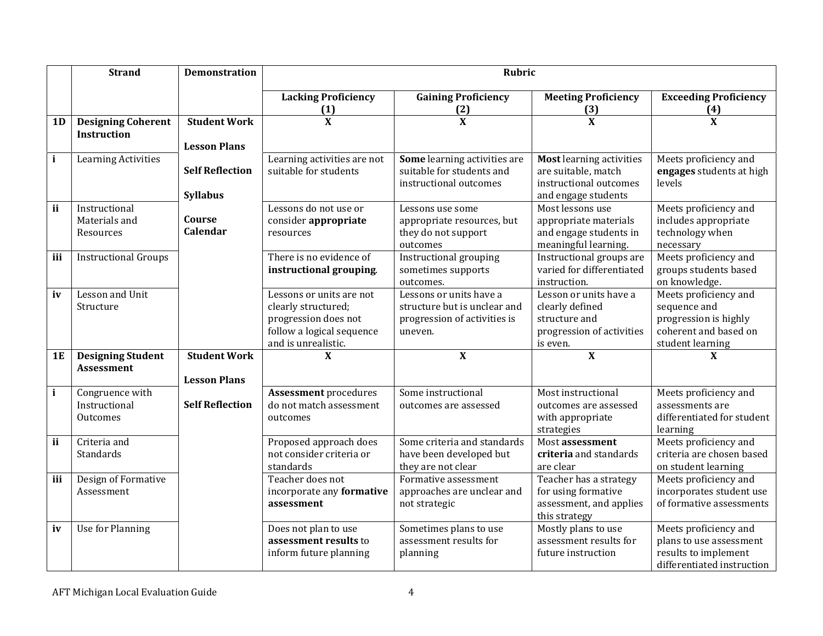|              | <b>Strand</b>                                   | <b>Demonstration</b>                       |                                                                                                                             | <b>Rubric</b>                                                                                      |                                                                                                         |                                                                                                             |
|--------------|-------------------------------------------------|--------------------------------------------|-----------------------------------------------------------------------------------------------------------------------------|----------------------------------------------------------------------------------------------------|---------------------------------------------------------------------------------------------------------|-------------------------------------------------------------------------------------------------------------|
|              |                                                 |                                            | <b>Lacking Proficiency</b><br>(1)                                                                                           | <b>Gaining Proficiency</b><br>(2)                                                                  | <b>Meeting Proficiency</b><br>(3)                                                                       | <b>Exceeding Proficiency</b><br>(4)                                                                         |
| 1D           | <b>Designing Coherent</b><br><b>Instruction</b> | <b>Student Work</b><br><b>Lesson Plans</b> | $\overline{\mathbf{x}}$                                                                                                     | $\overline{\mathbf{X}}$                                                                            | $\overline{\mathbf{X}}$                                                                                 | $\overline{\mathbf{X}}$                                                                                     |
| $\mathbf{i}$ | <b>Learning Activities</b>                      | <b>Self Reflection</b><br><b>Syllabus</b>  | Learning activities are not<br>suitable for students                                                                        | Some learning activities are<br>suitable for students and<br>instructional outcomes                | <b>Most learning activities</b><br>are suitable, match<br>instructional outcomes<br>and engage students | Meets proficiency and<br>engages students at high<br>levels                                                 |
| ii           | Instructional<br>Materials and<br>Resources     | Course<br>Calendar                         | Lessons do not use or<br>consider appropriate<br>resources                                                                  | Lessons use some<br>appropriate resources, but<br>they do not support<br>outcomes                  | Most lessons use<br>appropriate materials<br>and engage students in<br>meaningful learning.             | Meets proficiency and<br>includes appropriate<br>technology when<br>necessary                               |
| iii          | <b>Instructional Groups</b>                     |                                            | There is no evidence of<br>instructional grouping.                                                                          | Instructional grouping<br>sometimes supports<br>outcomes.                                          | Instructional groups are<br>varied for differentiated<br>instruction.                                   | Meets proficiency and<br>groups students based<br>on knowledge.                                             |
| iv           | Lesson and Unit<br>Structure                    |                                            | Lessons or units are not<br>clearly structured;<br>progression does not<br>follow a logical sequence<br>and is unrealistic. | Lessons or units have a<br>structure but is unclear and<br>progression of activities is<br>uneven. | Lesson or units have a<br>clearly defined<br>structure and<br>progression of activities<br>is even.     | Meets proficiency and<br>sequence and<br>progression is highly<br>coherent and based on<br>student learning |
| <b>1E</b>    | <b>Designing Student</b><br>Assessment          | <b>Student Work</b><br><b>Lesson Plans</b> | X                                                                                                                           | $\mathbf X$                                                                                        | $\mathbf X$                                                                                             | X                                                                                                           |
| $\mathbf{i}$ | Congruence with<br>Instructional<br>Outcomes    | <b>Self Reflection</b>                     | <b>Assessment procedures</b><br>do not match assessment<br>outcomes                                                         | Some instructional<br>outcomes are assessed                                                        | Most instructional<br>outcomes are assessed<br>with appropriate<br>strategies                           | Meets proficiency and<br>assessments are<br>differentiated for student<br>learning                          |
| ii           | Criteria and<br>Standards                       |                                            | Proposed approach does<br>not consider criteria or<br>standards                                                             | Some criteria and standards<br>have been developed but<br>they are not clear                       | Most assessment<br>criteria and standards<br>are clear                                                  | Meets proficiency and<br>criteria are chosen based<br>on student learning                                   |
| iii          | Design of Formative<br>Assessment               |                                            | Teacher does not<br>incorporate any formative<br>assessment                                                                 | Formative assessment<br>approaches are unclear and<br>not strategic                                | Teacher has a strategy<br>for using formative<br>assessment, and applies<br>this strategy               | Meets proficiency and<br>incorporates student use<br>of formative assessments                               |
| iv           | Use for Planning                                |                                            | Does not plan to use<br>assessment results to<br>inform future planning                                                     | Sometimes plans to use<br>assessment results for<br>planning                                       | Mostly plans to use<br>assessment results for<br>future instruction                                     | Meets proficiency and<br>plans to use assessment<br>results to implement<br>differentiated instruction      |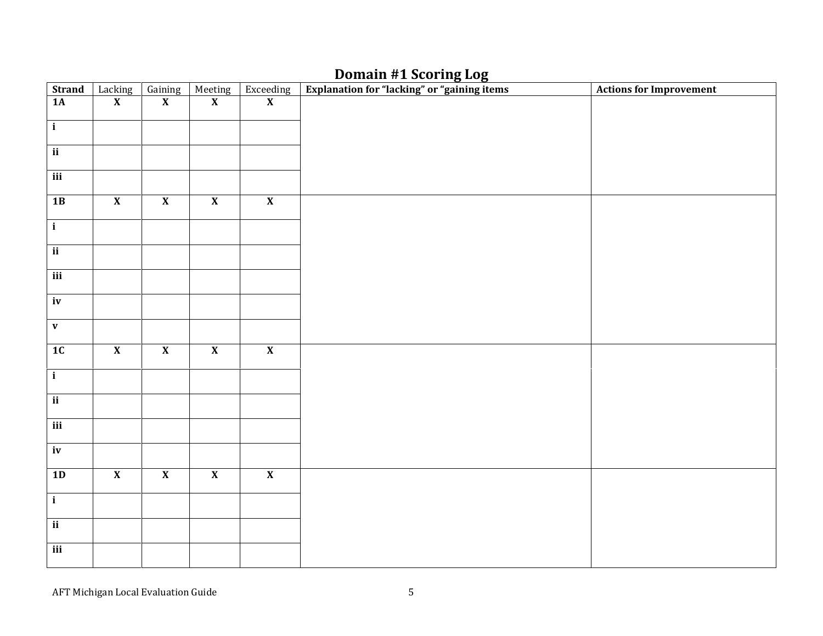## Domain #1 Scoring Log

| <b>Strand</b>            | Lacking                 | Gaining                 | Meeting<br>X            | $\begin{array}{c}\n\text{Exceeding} \\ \textbf{X}\n\end{array}$ | Explanation for "lacking" or "gaining items | <b>Actions for Improvement</b> |
|--------------------------|-------------------------|-------------------------|-------------------------|-----------------------------------------------------------------|---------------------------------------------|--------------------------------|
| 1A                       | $\overline{\mathbf{X}}$ | $\overline{\mathbf{X}}$ |                         |                                                                 |                                             |                                |
| $\overline{\mathbf{i}}$  |                         |                         |                         |                                                                 |                                             |                                |
|                          |                         |                         |                         |                                                                 |                                             |                                |
| $\overline{\mathbf{ii}}$ |                         |                         |                         |                                                                 |                                             |                                |
| $\overline{\text{iii}}$  |                         |                         |                         |                                                                 |                                             |                                |
| 1B                       | $\overline{\mathbf{X}}$ | $\overline{\mathbf{X}}$ | $\overline{\mathbf{X}}$ | $\overline{\mathbf{X}}$                                         |                                             |                                |
| $\overline{\mathbf{i}}$  |                         |                         |                         |                                                                 |                                             |                                |
| $\overline{\mathbf{ii}}$ |                         |                         |                         |                                                                 |                                             |                                |
| $\overline{\text{iii}}$  |                         |                         |                         |                                                                 |                                             |                                |
| $\overline{iv}$          |                         |                         |                         |                                                                 |                                             |                                |
| $\mathbf v$              |                         |                         |                         |                                                                 |                                             |                                |
| 1C                       | $\overline{\mathbf{X}}$ | $\overline{\mathbf{X}}$ | $\overline{\mathbf{X}}$ | $\overline{\mathbf{X}}$                                         |                                             |                                |
| $\overline{\mathbf{i}}$  |                         |                         |                         |                                                                 |                                             |                                |
| $\overline{\mathbf{ii}}$ |                         |                         |                         |                                                                 |                                             |                                |
| $\overline{\text{iii}}$  |                         |                         |                         |                                                                 |                                             |                                |
| iv                       |                         |                         |                         |                                                                 |                                             |                                |
| 1D                       | $\overline{\mathbf{X}}$ | $\overline{\mathbf{X}}$ | $\overline{\mathbf{X}}$ | $\overline{\mathbf{X}}$                                         |                                             |                                |
| $\overline{\mathbf{i}}$  |                         |                         |                         |                                                                 |                                             |                                |
| $\overline{\mathbf{ii}}$ |                         |                         |                         |                                                                 |                                             |                                |
| $\overline{\text{iii}}$  |                         |                         |                         |                                                                 |                                             |                                |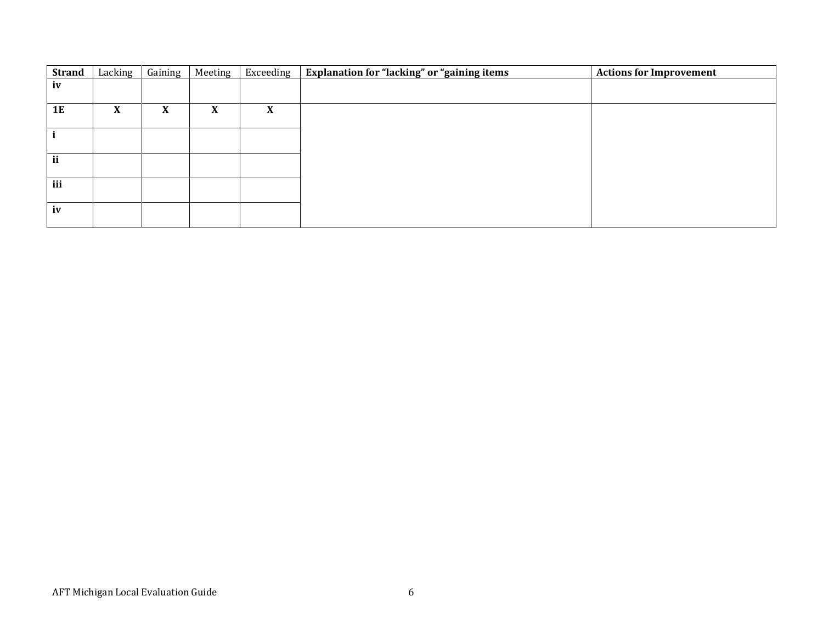| <b>Strand</b> | Lacking                   | Gaining | Meeting                   | Exceeding         | Explanation for "lacking" or "gaining items | <b>Actions for Improvement</b> |
|---------------|---------------------------|---------|---------------------------|-------------------|---------------------------------------------|--------------------------------|
| iv            |                           |         |                           |                   |                                             |                                |
|               |                           |         |                           |                   |                                             |                                |
| <b>1E</b>     | $\boldsymbol{\mathrm{X}}$ | X       | $\boldsymbol{\mathrm{X}}$ | $\mathbf{v}$<br>л |                                             |                                |
|               |                           |         |                           |                   |                                             |                                |
|               |                           |         |                           |                   |                                             |                                |
|               |                           |         |                           |                   |                                             |                                |
| ii            |                           |         |                           |                   |                                             |                                |
|               |                           |         |                           |                   |                                             |                                |
| iii           |                           |         |                           |                   |                                             |                                |
|               |                           |         |                           |                   |                                             |                                |
| iv            |                           |         |                           |                   |                                             |                                |
|               |                           |         |                           |                   |                                             |                                |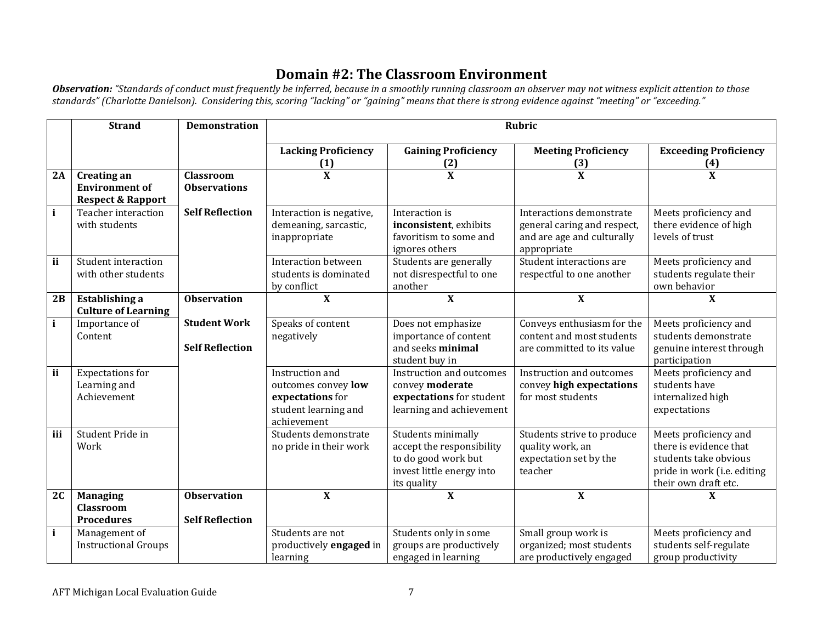# Domain #2: The Classroom Environment

<mark>Observation:</mark> "Standards of conduct must frequently be inferred, because in a smoothly running classroom an observer may not witness explicit attention to those<br>standards" (Charlotte Danielson). Considering this, scoring

|              | <b>Strand</b>                                                               | <b>Demonstration</b>                          |                                                                                                   |                                                                                                                    | <b>Rubric</b>                                                                                        |                                                                                                                                 |
|--------------|-----------------------------------------------------------------------------|-----------------------------------------------|---------------------------------------------------------------------------------------------------|--------------------------------------------------------------------------------------------------------------------|------------------------------------------------------------------------------------------------------|---------------------------------------------------------------------------------------------------------------------------------|
|              |                                                                             |                                               | <b>Lacking Proficiency</b><br>(1)                                                                 | <b>Gaining Proficiency</b><br>(2)                                                                                  | <b>Meeting Proficiency</b><br>(3)                                                                    | <b>Exceeding Proficiency</b><br>(4)                                                                                             |
| 2A           | <b>Creating an</b><br><b>Environment of</b><br><b>Respect &amp; Rapport</b> | <b>Classroom</b><br><b>Observations</b>       | $\mathbf{X}$                                                                                      | $\mathbf{X}$                                                                                                       | $\mathbf{X}$                                                                                         | $\mathbf{X}$                                                                                                                    |
| $\mathbf{i}$ | Teacher interaction<br>with students                                        | <b>Self Reflection</b>                        | Interaction is negative,<br>demeaning, sarcastic,<br>inappropriate                                | Interaction is<br>inconsistent, exhibits<br>favoritism to some and<br>ignores others                               | Interactions demonstrate<br>general caring and respect,<br>and are age and culturally<br>appropriate | Meets proficiency and<br>there evidence of high<br>levels of trust                                                              |
| ii           | <b>Student interaction</b><br>with other students                           |                                               | Interaction between<br>students is dominated<br>by conflict                                       | Students are generally<br>not disrespectful to one<br>another                                                      | Student interactions are<br>respectful to one another                                                | Meets proficiency and<br>students regulate their<br>own behavior                                                                |
| 2B           | <b>Establishing a</b><br><b>Culture of Learning</b>                         | <b>Observation</b>                            | $\overline{\mathbf{X}}$                                                                           | $\overline{\mathbf{X}}$                                                                                            | $\overline{\mathbf{X}}$                                                                              | $\mathbf{x}$                                                                                                                    |
| $\mathbf{i}$ | Importance of<br>Content                                                    | <b>Student Work</b><br><b>Self Reflection</b> | Speaks of content<br>negatively                                                                   | Does not emphasize<br>importance of content<br>and seeks minimal<br>student buy in                                 | Conveys enthusiasm for the<br>content and most students<br>are committed to its value                | Meets proficiency and<br>students demonstrate<br>genuine interest through<br>participation                                      |
| ii           | <b>Expectations for</b><br>Learning and<br>Achievement                      |                                               | Instruction and<br>outcomes convey low<br>expectations for<br>student learning and<br>achievement | Instruction and outcomes<br>convey moderate<br>expectations for student<br>learning and achievement                | Instruction and outcomes<br>convey high expectations<br>for most students                            | Meets proficiency and<br>students have<br>internalized high<br>expectations                                                     |
| iii          | Student Pride in<br>Work                                                    |                                               | Students demonstrate<br>no pride in their work                                                    | Students minimally<br>accept the responsibility<br>to do good work but<br>invest little energy into<br>its quality | Students strive to produce<br>quality work, an<br>expectation set by the<br>teacher                  | Meets proficiency and<br>there is evidence that<br>students take obvious<br>pride in work (i.e. editing<br>their own draft etc. |
| 2C           | <b>Managing</b><br><b>Classroom</b><br><b>Procedures</b>                    | <b>Observation</b><br><b>Self Reflection</b>  | $\mathbf X$                                                                                       | $\boldsymbol{\mathrm{X}}$                                                                                          | $\mathbf{X}$                                                                                         | X                                                                                                                               |
| $\mathbf{i}$ | Management of<br><b>Instructional Groups</b>                                |                                               | Students are not<br>productively engaged in<br>learning                                           | Students only in some<br>groups are productively<br>engaged in learning                                            | Small group work is<br>organized; most students<br>are productively engaged                          | Meets proficiency and<br>students self-regulate<br>group productivity                                                           |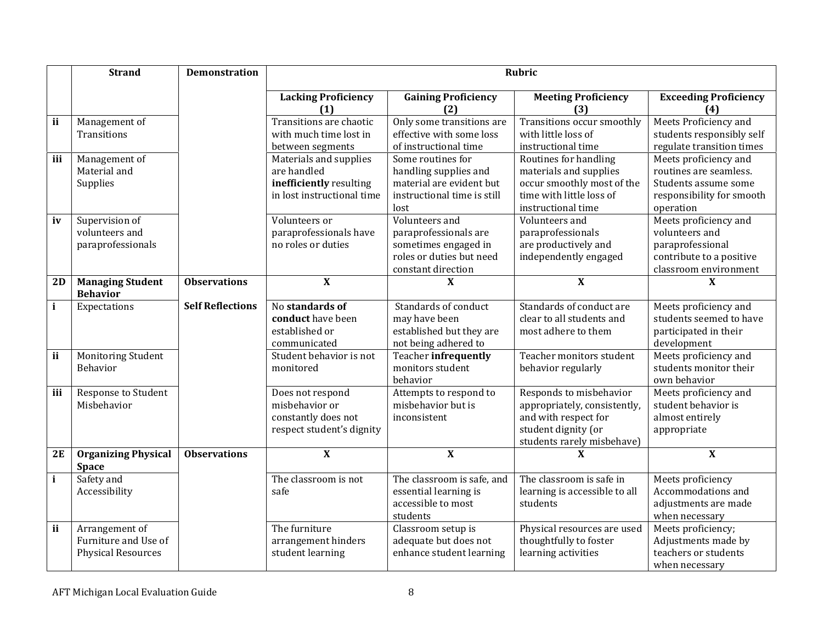|              | <b>Strand</b>                              | <b>Demonstration</b>    |                                    |                                              | <b>Rubric</b>                                        |                                        |
|--------------|--------------------------------------------|-------------------------|------------------------------------|----------------------------------------------|------------------------------------------------------|----------------------------------------|
|              |                                            |                         | <b>Lacking Proficiency</b><br>(1)  | <b>Gaining Proficiency</b><br>(2)            | <b>Meeting Proficiency</b><br>(3)                    | <b>Exceeding Proficiency</b><br>(4)    |
| ii           | Management of                              |                         | Transitions are chaotic            | Only some transitions are                    | Transitions occur smoothly                           | Meets Proficiency and                  |
|              | Transitions                                |                         | with much time lost in             | effective with some loss                     | with little loss of                                  | students responsibly self              |
|              |                                            |                         | between segments                   | of instructional time                        | instructional time                                   | regulate transition times              |
| iii          | Management of                              |                         | Materials and supplies             | Some routines for                            | Routines for handling                                | Meets proficiency and                  |
|              | Material and                               |                         | are handled                        | handling supplies and                        | materials and supplies                               | routines are seamless.                 |
|              | Supplies                                   |                         | inefficiently resulting            | material are evident but                     | occur smoothly most of the                           | Students assume some                   |
|              |                                            |                         | in lost instructional time         | instructional time is still                  | time with little loss of                             | responsibility for smooth              |
|              |                                            |                         |                                    | lost                                         | instructional time                                   | operation                              |
| iv           | Supervision of                             |                         | Volunteers or                      | Volunteers and                               | Volunteers and                                       | Meets proficiency and                  |
|              | volunteers and                             |                         | paraprofessionals have             | paraprofessionals are                        | paraprofessionals                                    | volunteers and                         |
|              | paraprofessionals                          |                         | no roles or duties                 | sometimes engaged in                         | are productively and                                 | paraprofessional                       |
|              |                                            |                         |                                    | roles or duties but need                     | independently engaged                                | contribute to a positive               |
|              |                                            |                         |                                    | constant direction                           |                                                      | classroom environment                  |
| 2D           | <b>Managing Student</b><br><b>Behavior</b> | <b>Observations</b>     | $\mathbf{X}$                       | X                                            | $\mathbf{X}$                                         | X                                      |
| $\mathbf{i}$ | Expectations                               | <b>Self Reflections</b> | No standards of                    | Standards of conduct                         | Standards of conduct are                             | Meets proficiency and                  |
|              |                                            |                         | conduct have been                  | may have been                                | clear to all students and                            | students seemed to have                |
|              |                                            |                         | established or                     | established but they are                     | most adhere to them                                  | participated in their                  |
|              |                                            |                         | communicated                       | not being adhered to                         |                                                      | development                            |
| ii           | Monitoring Student                         |                         | Student behavior is not            | <b>Teacher infrequently</b>                  | Teacher monitors student                             | Meets proficiency and                  |
|              | Behavior                                   |                         | monitored                          | monitors student                             | behavior regularly                                   | students monitor their                 |
|              |                                            |                         |                                    | behavior                                     |                                                      | own behavior                           |
| iii          | Response to Student<br>Misbehavior         |                         | Does not respond<br>misbehavior or | Attempts to respond to<br>misbehavior but is | Responds to misbehavior                              | Meets proficiency and                  |
|              |                                            |                         | constantly does not                | inconsistent                                 | appropriately, consistently,<br>and with respect for | student behavior is<br>almost entirely |
|              |                                            |                         | respect student's dignity          |                                              | student dignity (or                                  | appropriate                            |
|              |                                            |                         |                                    |                                              | students rarely misbehave)                           |                                        |
| 2E           | <b>Organizing Physical</b>                 | <b>Observations</b>     | $\mathbf X$                        | $\overline{\mathbf{X}}$                      | $\boldsymbol{\mathrm{X}}$                            | $\mathbf{X}$                           |
|              | <b>Space</b>                               |                         |                                    |                                              |                                                      |                                        |
| $\mathbf{i}$ | Safety and                                 |                         | The classroom is not               | The classroom is safe, and                   | The classroom is safe in                             | Meets proficiency                      |
|              | Accessibility                              |                         | safe                               | essential learning is                        | learning is accessible to all                        | Accommodations and                     |
|              |                                            |                         |                                    | accessible to most                           | students                                             | adjustments are made                   |
|              |                                            |                         |                                    | students                                     |                                                      | when necessary                         |
| ii           | Arrangement of                             |                         | The furniture                      | Classroom setup is                           | Physical resources are used                          | Meets proficiency;                     |
|              | Furniture and Use of                       |                         | arrangement hinders                | adequate but does not                        | thoughtfully to foster                               | Adjustments made by                    |
|              | <b>Physical Resources</b>                  |                         | student learning                   | enhance student learning                     | learning activities                                  | teachers or students                   |
|              |                                            |                         |                                    |                                              |                                                      | when necessary                         |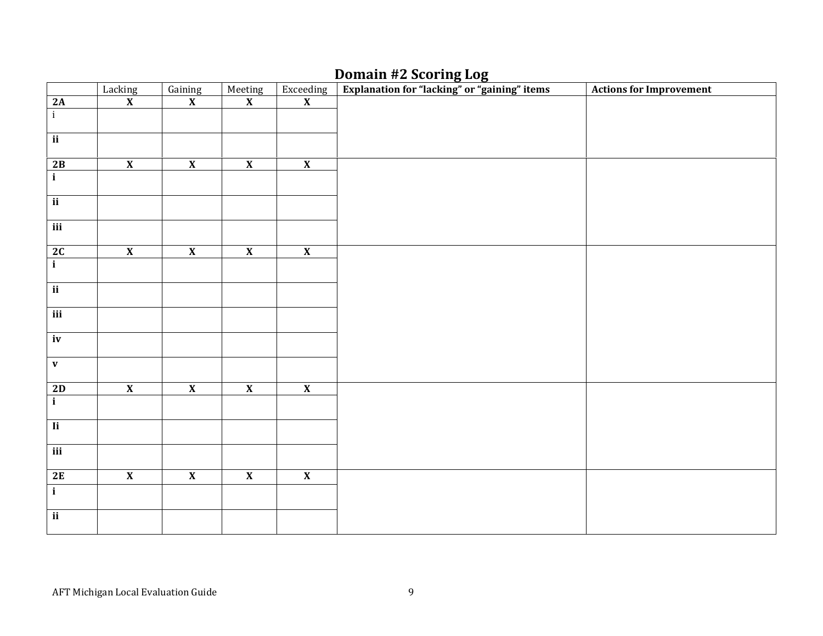## Domain #2 Scoring Log

|                          | Lacking<br>X            | $\frac{\text{Gaining}}{\textbf{X}}$ | Meeting<br>X            | $\frac{Expecteding}{X}$ | Explanation for "lacking" or "gaining" items | <b>Actions for Improvement</b> |
|--------------------------|-------------------------|-------------------------------------|-------------------------|-------------------------|----------------------------------------------|--------------------------------|
| 2A                       |                         |                                     |                         |                         |                                              |                                |
| $\overline{i}$           |                         |                                     |                         |                         |                                              |                                |
| $\overline{\mathbf{ii}}$ |                         |                                     |                         |                         |                                              |                                |
|                          |                         |                                     |                         |                         |                                              |                                |
|                          | $\overline{\mathbf{X}}$ | $\overline{\mathbf{X}}$             | $\overline{\mathbf{X}}$ | $\overline{\mathbf{X}}$ |                                              |                                |
| $\frac{2B}{i}$           |                         |                                     |                         |                         |                                              |                                |
|                          |                         |                                     |                         |                         |                                              |                                |
| $\overline{\mathbf{ii}}$ |                         |                                     |                         |                         |                                              |                                |
| iii                      |                         |                                     |                         |                         |                                              |                                |
|                          |                         |                                     |                         |                         |                                              |                                |
| $\frac{2C}{i}$           | $\overline{\mathbf{X}}$ | $\overline{\mathbf{X}}$             | $\overline{\mathbf{X}}$ | $\overline{\mathbf{X}}$ |                                              |                                |
|                          |                         |                                     |                         |                         |                                              |                                |
|                          |                         |                                     |                         |                         |                                              |                                |
| $\overline{\mathbf{ii}}$ |                         |                                     |                         |                         |                                              |                                |
| iii                      |                         |                                     |                         |                         |                                              |                                |
|                          |                         |                                     |                         |                         |                                              |                                |
| iv                       |                         |                                     |                         |                         |                                              |                                |
|                          |                         |                                     |                         |                         |                                              |                                |
| $\mathbf v$              |                         |                                     |                         |                         |                                              |                                |
|                          | $\overline{\mathbf{X}}$ | $\overline{\mathbf{X}}$             | $\overline{\mathbf{X}}$ | $\overline{\mathbf{X}}$ |                                              |                                |
| $\frac{2D}{i}$           |                         |                                     |                         |                         |                                              |                                |
|                          |                         |                                     |                         |                         |                                              |                                |
| $\overline{I}$           |                         |                                     |                         |                         |                                              |                                |
| $\overline{\text{iii}}$  |                         |                                     |                         |                         |                                              |                                |
|                          |                         |                                     |                         |                         |                                              |                                |
| 2E                       | $\overline{\mathbf{X}}$ | $\overline{\mathbf{X}}$             | $\overline{\mathbf{X}}$ | $\overline{\mathbf{X}}$ |                                              |                                |
| $\overline{\mathbf{i}}$  |                         |                                     |                         |                         |                                              |                                |
|                          |                         |                                     |                         |                         |                                              |                                |
| $\overline{\mathbf{ii}}$ |                         |                                     |                         |                         |                                              |                                |
|                          |                         |                                     |                         |                         |                                              |                                |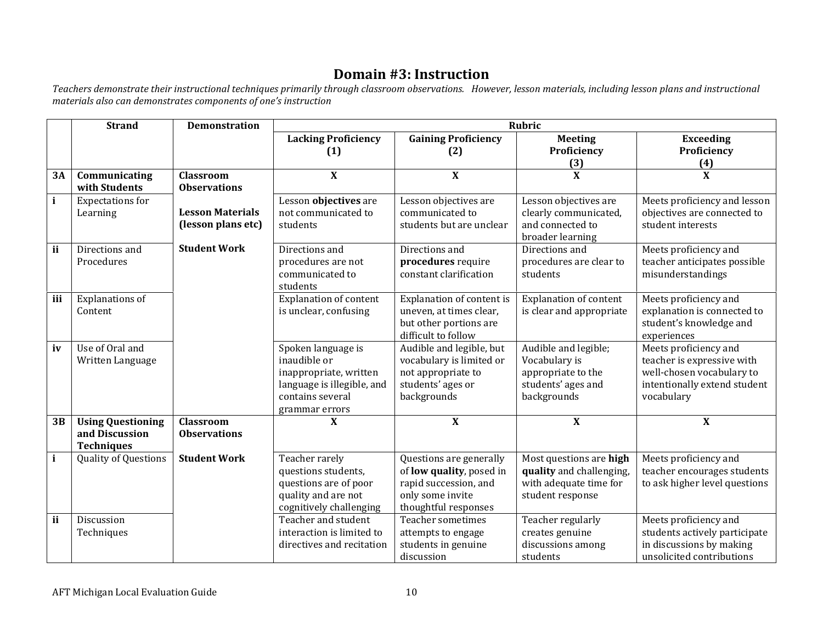## Domain #3: Instruction

Teachers demonstrate their instructional techniques primarily through classroom observations. However, lesson materials, including lesson plans and instructional<br>materials also can demonstrates components of one's instru

|              | <b>Strand</b>                                                   | <b>Demonstration</b>                          |                                                                                                                                  |                                                                                                                                 | <b>Rubric</b>                                                                                     |                                                                                                                                |
|--------------|-----------------------------------------------------------------|-----------------------------------------------|----------------------------------------------------------------------------------------------------------------------------------|---------------------------------------------------------------------------------------------------------------------------------|---------------------------------------------------------------------------------------------------|--------------------------------------------------------------------------------------------------------------------------------|
|              |                                                                 |                                               | <b>Lacking Proficiency</b><br>(1)                                                                                                | <b>Gaining Proficiency</b><br>(2)                                                                                               | <b>Meeting</b><br>Proficiency                                                                     | <b>Exceeding</b><br>Proficiency                                                                                                |
|              |                                                                 |                                               |                                                                                                                                  |                                                                                                                                 | (3)                                                                                               | (4)                                                                                                                            |
| 3A           | Communicating<br>with Students                                  | Classroom<br><b>Observations</b>              | $\mathbf X$                                                                                                                      | $\mathbf{X}$                                                                                                                    | X                                                                                                 | $\boldsymbol{\mathrm{X}}$                                                                                                      |
| $\mathbf{i}$ | <b>Expectations for</b><br>Learning                             | <b>Lesson Materials</b><br>(lesson plans etc) | Lesson objectives are<br>not communicated to<br>students                                                                         | Lesson objectives are<br>communicated to<br>students but are unclear                                                            | Lesson objectives are<br>clearly communicated,<br>and connected to<br>broader learning            | Meets proficiency and lesson<br>objectives are connected to<br>student interests                                               |
| ii           | Directions and<br>Procedures                                    | <b>Student Work</b>                           | Directions and<br>procedures are not<br>communicated to<br>students                                                              | Directions and<br>procedures require<br>constant clarification                                                                  | Directions and<br>procedures are clear to<br>students                                             | Meets proficiency and<br>teacher anticipates possible<br>misunderstandings                                                     |
| iii          | Explanations of<br>Content                                      |                                               | <b>Explanation of content</b><br>is unclear, confusing                                                                           | Explanation of content is<br>uneven, at times clear,<br>but other portions are<br>difficult to follow                           | <b>Explanation of content</b><br>is clear and appropriate                                         | Meets proficiency and<br>explanation is connected to<br>student's knowledge and<br>experiences                                 |
| iv           | Use of Oral and<br>Written Language                             |                                               | Spoken language is<br>inaudible or<br>inappropriate, written<br>language is illegible, and<br>contains several<br>grammar errors | Audible and legible, but<br>vocabulary is limited or<br>not appropriate to<br>students' ages or<br>backgrounds                  | Audible and legible;<br>Vocabulary is<br>appropriate to the<br>students' ages and<br>backgrounds  | Meets proficiency and<br>teacher is expressive with<br>well-chosen vocabulary to<br>intentionally extend student<br>vocabulary |
| 3B           | <b>Using Questioning</b><br>and Discussion<br><b>Techniques</b> | <b>Classroom</b><br><b>Observations</b>       | X                                                                                                                                | $\mathbf{X}$                                                                                                                    | $\boldsymbol{\mathrm{X}}$                                                                         | X                                                                                                                              |
| $\mathbf{i}$ | <b>Quality of Questions</b>                                     | <b>Student Work</b>                           | Teacher rarely<br>questions students,<br>questions are of poor<br>quality and are not<br>cognitively challenging                 | Questions are generally<br>of <b>low</b> quality, posed in<br>rapid succession, and<br>only some invite<br>thoughtful responses | Most questions are high<br>quality and challenging,<br>with adequate time for<br>student response | Meets proficiency and<br>teacher encourages students<br>to ask higher level questions                                          |
| ii           | Discussion<br>Techniques                                        |                                               | Teacher and student<br>interaction is limited to<br>directives and recitation                                                    | <b>Teacher sometimes</b><br>attempts to engage<br>students in genuine<br>discussion                                             | Teacher regularly<br>creates genuine<br>discussions among<br>students                             | Meets proficiency and<br>students actively participate<br>in discussions by making<br>unsolicited contributions                |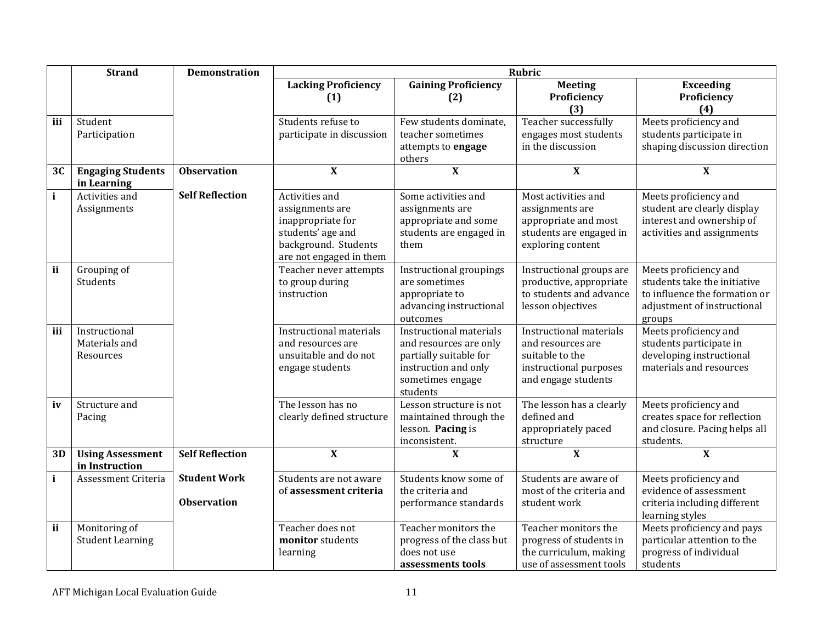|              | <b>Strand</b>                               | <b>Demonstration</b>                      | <b>Rubric</b>                                                                                                                  |                                                                                                                                            |                                                                                                                  |                                                                                                                                 |  |  |  |
|--------------|---------------------------------------------|-------------------------------------------|--------------------------------------------------------------------------------------------------------------------------------|--------------------------------------------------------------------------------------------------------------------------------------------|------------------------------------------------------------------------------------------------------------------|---------------------------------------------------------------------------------------------------------------------------------|--|--|--|
|              |                                             |                                           | <b>Lacking Proficiency</b><br>(1)                                                                                              | <b>Gaining Proficiency</b><br>(2)                                                                                                          | <b>Meeting</b><br>Proficiency<br>(3)                                                                             | <b>Exceeding</b><br>Proficiency<br>(4)                                                                                          |  |  |  |
| iii          | Student<br>Participation                    |                                           | Students refuse to<br>participate in discussion                                                                                | Few students dominate,<br>teacher sometimes<br>attempts to engage<br>others                                                                | Teacher successfully<br>engages most students<br>in the discussion                                               | Meets proficiency and<br>students participate in<br>shaping discussion direction                                                |  |  |  |
| 3C           | <b>Engaging Students</b><br>in Learning     | <b>Observation</b>                        | $\overline{\mathbf{X}}$                                                                                                        | $\overline{\mathbf{X}}$                                                                                                                    | $\boldsymbol{\mathrm{X}}$                                                                                        | $\boldsymbol{\mathrm{X}}$                                                                                                       |  |  |  |
| $\mathbf{i}$ | Activities and<br>Assignments               | <b>Self Reflection</b>                    | Activities and<br>assignments are<br>inappropriate for<br>students' age and<br>background. Students<br>are not engaged in them | Some activities and<br>assignments are<br>appropriate and some<br>students are engaged in<br>them                                          | Most activities and<br>assignments are<br>appropriate and most<br>students are engaged in<br>exploring content   | Meets proficiency and<br>student are clearly display<br>interest and ownership of<br>activities and assignments                 |  |  |  |
| ii           | Grouping of<br>Students                     |                                           | Teacher never attempts<br>to group during<br>instruction                                                                       | Instructional groupings<br>are sometimes<br>appropriate to<br>advancing instructional<br>outcomes                                          | Instructional groups are<br>productive, appropriate<br>to students and advance<br>lesson objectives              | Meets proficiency and<br>students take the initiative<br>to influence the formation or<br>adjustment of instructional<br>groups |  |  |  |
| iii          | Instructional<br>Materials and<br>Resources |                                           | Instructional materials<br>and resources are<br>unsuitable and do not<br>engage students                                       | <b>Instructional materials</b><br>and resources are only<br>partially suitable for<br>instruction and only<br>sometimes engage<br>students | Instructional materials<br>and resources are<br>suitable to the<br>instructional purposes<br>and engage students | Meets proficiency and<br>students participate in<br>developing instructional<br>materials and resources                         |  |  |  |
| iv           | Structure and<br>Pacing                     |                                           | The lesson has no<br>clearly defined structure                                                                                 | Lesson structure is not<br>maintained through the<br>lesson. Pacing is<br>inconsistent.                                                    | The lesson has a clearly<br>defined and<br>appropriately paced<br>structure                                      | Meets proficiency and<br>creates space for reflection<br>and closure. Pacing helps all<br>students.                             |  |  |  |
| 3D           | <b>Using Assessment</b><br>in Instruction   | <b>Self Reflection</b>                    | $\overline{\mathbf{X}}$                                                                                                        | $\mathbf X$                                                                                                                                | $\overline{\mathbf{X}}$                                                                                          | $\overline{\mathbf{X}}$                                                                                                         |  |  |  |
| $\mathbf{i}$ | Assessment Criteria                         | <b>Student Work</b><br><b>Observation</b> | Students are not aware<br>of assessment criteria                                                                               | Students know some of<br>the criteria and<br>performance standards                                                                         | Students are aware of<br>most of the criteria and<br>student work                                                | Meets proficiency and<br>evidence of assessment<br>criteria including different<br>learning styles                              |  |  |  |
| ii           | Monitoring of<br><b>Student Learning</b>    |                                           | Teacher does not<br>monitor students<br>learning                                                                               | Teacher monitors the<br>progress of the class but<br>does not use<br>assessments tools                                                     | Teacher monitors the<br>progress of students in<br>the curriculum, making<br>use of assessment tools             | Meets proficiency and pays<br>particular attention to the<br>progress of individual<br>students                                 |  |  |  |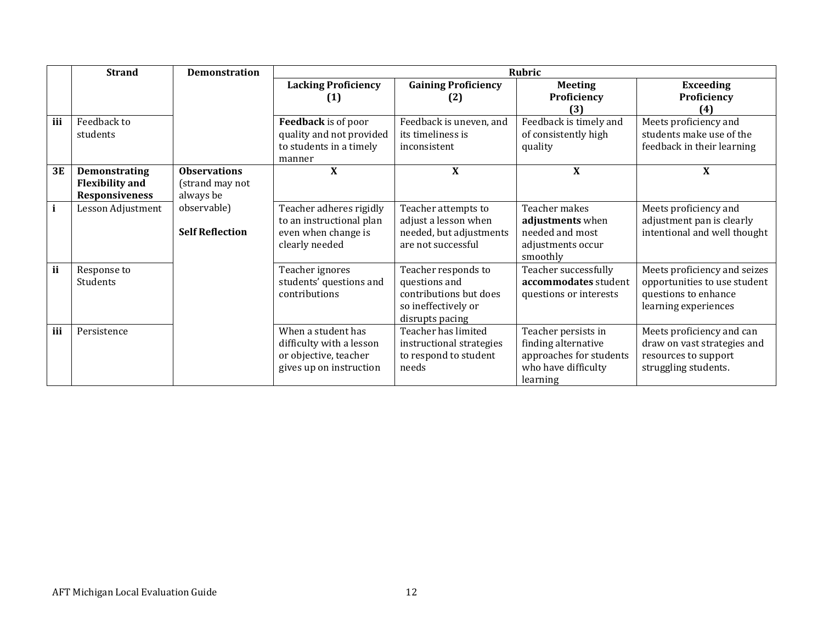|     | <b>Strand</b>          | <b>Demonstration</b>   |                            |                            | <b>Rubric</b>             |                              |
|-----|------------------------|------------------------|----------------------------|----------------------------|---------------------------|------------------------------|
|     |                        |                        | <b>Lacking Proficiency</b> | <b>Gaining Proficiency</b> | <b>Meeting</b>            | <b>Exceeding</b>             |
|     |                        |                        | (1)                        | (2)                        | Proficiency               | Proficiency                  |
|     |                        |                        |                            |                            | (3)                       | (4)                          |
| iii | Feedback to            |                        | Feedback is of poor        | Feedback is uneven, and    | Feedback is timely and    | Meets proficiency and        |
|     | students               |                        | quality and not provided   | its timeliness is          | of consistently high      | students make use of the     |
|     |                        |                        | to students in a timely    | inconsistent               | quality                   | feedback in their learning   |
|     |                        |                        | manner                     |                            |                           |                              |
| 3E  | <b>Demonstrating</b>   | <b>Observations</b>    | $\mathbf X$                | $\boldsymbol{\mathrm{X}}$  | $\boldsymbol{\mathrm{X}}$ | X                            |
|     | <b>Flexibility and</b> | (strand may not        |                            |                            |                           |                              |
|     | <b>Responsiveness</b>  | always be              |                            |                            |                           |                              |
| i   | Lesson Adjustment      | observable)            | Teacher adheres rigidly    | Teacher attempts to        | Teacher makes             | Meets proficiency and        |
|     |                        |                        | to an instructional plan   | adjust a lesson when       | adjustments when          | adjustment pan is clearly    |
|     |                        | <b>Self Reflection</b> | even when change is        | needed, but adjustments    | needed and most           | intentional and well thought |
|     |                        |                        | clearly needed             | are not successful         | adjustments occur         |                              |
|     |                        |                        |                            |                            | smoothly                  |                              |
| ii  | Response to            |                        | Teacher ignores            | Teacher responds to        | Teacher successfully      | Meets proficiency and seizes |
|     | Students               |                        | students' questions and    | questions and              | accommodates student      | opportunities to use student |
|     |                        |                        | contributions              | contributions but does     | questions or interests    | questions to enhance         |
|     |                        |                        |                            | so ineffectively or        |                           | learning experiences         |
|     |                        |                        |                            | disrupts pacing            |                           |                              |
| iii | Persistence            |                        | When a student has         | Teacher has limited        | Teacher persists in       | Meets proficiency and can    |
|     |                        |                        | difficulty with a lesson   | instructional strategies   | finding alternative       | draw on vast strategies and  |
|     |                        |                        | or objective, teacher      | to respond to student      | approaches for students   | resources to support         |
|     |                        |                        | gives up on instruction    | needs                      | who have difficulty       | struggling students.         |
|     |                        |                        |                            |                            | learning                  |                              |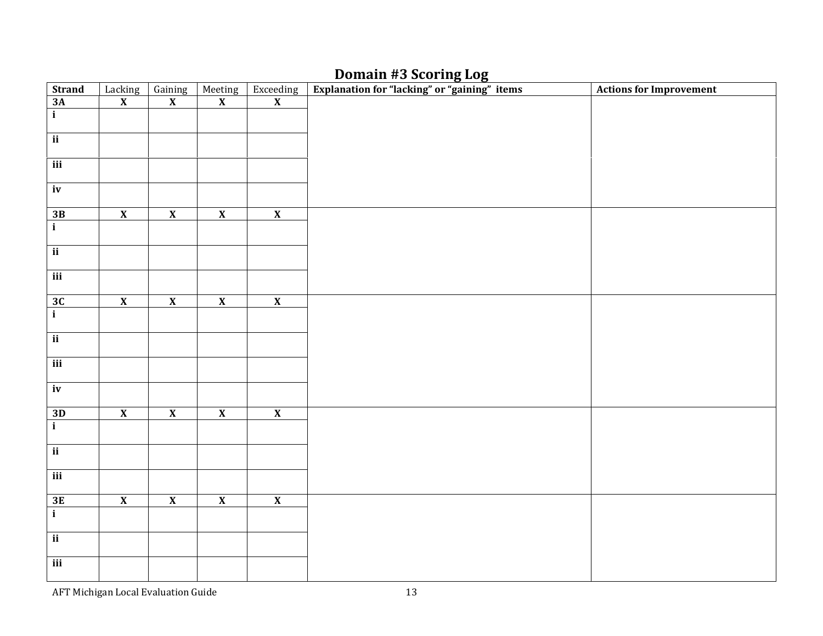## Domain #3 Scoring Log

| <b>Strand</b>            | Lacking<br>X            | $\frac{Gaining}{X}$     | Meeting<br>X            | $\begin{array}{c}\n\text{Exceeding} \\ \mathbf{X}\n\end{array}$ | Explanation for "lacking" or "gaining" items | <b>Actions for Improvement</b> |
|--------------------------|-------------------------|-------------------------|-------------------------|-----------------------------------------------------------------|----------------------------------------------|--------------------------------|
| $\frac{ }{3A}$<br>$i$    |                         |                         |                         |                                                                 |                                              |                                |
|                          |                         |                         |                         |                                                                 |                                              |                                |
| $\overline{ii}$          |                         |                         |                         |                                                                 |                                              |                                |
| iii                      |                         |                         |                         |                                                                 |                                              |                                |
| $\overline{iv}$          |                         |                         |                         |                                                                 |                                              |                                |
|                          | $\overline{\mathbf{X}}$ | $\overline{\mathbf{X}}$ | $\overline{\mathbf{X}}$ | $\overline{\mathbf{X}}$                                         |                                              |                                |
| $\frac{3B}{i}$           |                         |                         |                         |                                                                 |                                              |                                |
| $\overline{ii}$          |                         |                         |                         |                                                                 |                                              |                                |
| $\overline{\text{iii}}$  |                         |                         |                         |                                                                 |                                              |                                |
|                          | $\overline{\mathbf{X}}$ | $\overline{\mathbf{X}}$ | $\overline{\mathbf{X}}$ | $\overline{\mathbf{X}}$                                         |                                              |                                |
| $\frac{3C}{i}$           |                         |                         |                         |                                                                 |                                              |                                |
| $\overline{\mathbf{i}}$  |                         |                         |                         |                                                                 |                                              |                                |
| $\overline{\text{iii}}$  |                         |                         |                         |                                                                 |                                              |                                |
| iv                       |                         |                         |                         |                                                                 |                                              |                                |
|                          | $\overline{\mathbf{X}}$ | $\overline{\mathbf{X}}$ | $\overline{\mathbf{X}}$ | $\overline{\mathbf{X}}$                                         |                                              |                                |
| $\frac{3D}{i}$           |                         |                         |                         |                                                                 |                                              |                                |
| $\overline{\mathbf{ii}}$ |                         |                         |                         |                                                                 |                                              |                                |
| iii                      |                         |                         |                         |                                                                 |                                              |                                |
|                          | $\overline{\mathbf{X}}$ | $\overline{\mathbf{X}}$ | $\overline{\mathbf{X}}$ | $\overline{\mathbf{X}}$                                         |                                              |                                |
| $\frac{3E}{i}$           |                         |                         |                         |                                                                 |                                              |                                |
| $\overline{ii}$          |                         |                         |                         |                                                                 |                                              |                                |
| iii                      |                         |                         |                         |                                                                 |                                              |                                |

AFT Michigan Local Evaluation Guide 13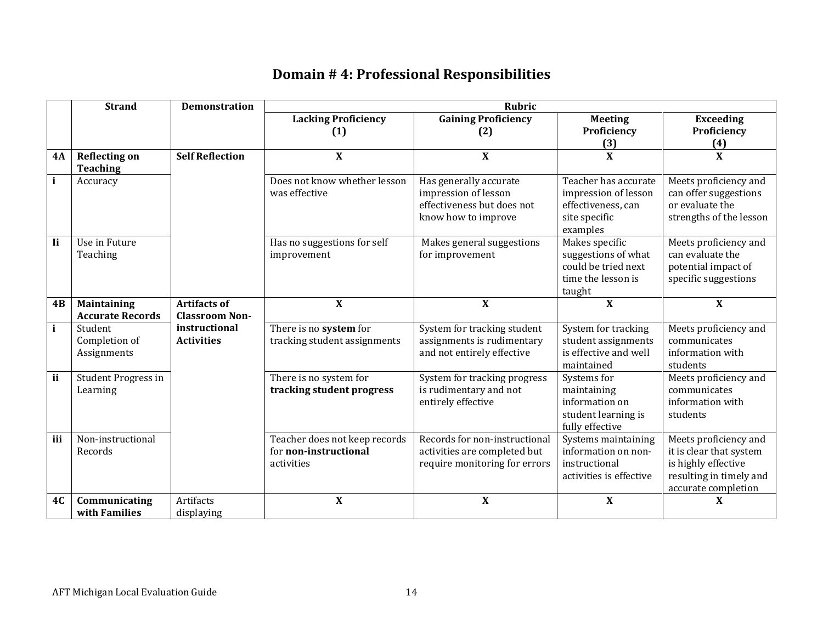## Domain # 4: Professional Responsibilities

|              | <b>Strand</b>           | <b>Demonstration</b>   |                               | <b>Rubric</b>                 |                           |                           |
|--------------|-------------------------|------------------------|-------------------------------|-------------------------------|---------------------------|---------------------------|
|              |                         |                        | <b>Lacking Proficiency</b>    | <b>Gaining Proficiency</b>    | <b>Meeting</b>            | <b>Exceeding</b>          |
|              |                         |                        | (1)                           | (2)                           | Proficiency               | Proficiency               |
|              |                         |                        |                               |                               | (3)                       | (4)                       |
| <b>4A</b>    | <b>Reflecting on</b>    | <b>Self Reflection</b> | $\boldsymbol{\mathrm{X}}$     | $\mathbf{X}$                  | $\boldsymbol{\mathrm{X}}$ | $\mathbf{X}$              |
|              | <b>Teaching</b>         |                        |                               |                               |                           |                           |
| $\mathbf{i}$ | Accuracy                |                        | Does not know whether lesson  | Has generally accurate        | Teacher has accurate      | Meets proficiency and     |
|              |                         |                        | was effective                 | impression of lesson          | impression of lesson      | can offer suggestions     |
|              |                         |                        |                               | effectiveness but does not    | effectiveness, can        | or evaluate the           |
|              |                         |                        |                               | know how to improve           | site specific             | strengths of the lesson   |
|              |                         |                        |                               |                               | examples                  |                           |
| <b>Ii</b>    | Use in Future           |                        | Has no suggestions for self   | Makes general suggestions     | Makes specific            | Meets proficiency and     |
|              | Teaching                |                        | improvement                   | for improvement               | suggestions of what       | can evaluate the          |
|              |                         |                        |                               |                               | could be tried next       | potential impact of       |
|              |                         |                        |                               |                               | time the lesson is        | specific suggestions      |
|              |                         |                        |                               |                               | taught                    |                           |
| 4B           | Maintaining             | <b>Artifacts of</b>    | $\mathbf{X}$                  | $\mathbf{X}$                  | $\mathbf{X}$              | $\mathbf{X}$              |
|              | <b>Accurate Records</b> | <b>Classroom Non-</b>  |                               |                               |                           |                           |
| $\mathbf{i}$ | Student                 | instructional          | There is no system for        | System for tracking student   | System for tracking       | Meets proficiency and     |
|              | Completion of           | <b>Activities</b>      | tracking student assignments  | assignments is rudimentary    | student assignments       | communicates              |
|              | Assignments             |                        |                               | and not entirely effective    | is effective and well     | information with          |
|              |                         |                        |                               |                               | maintained                | students                  |
| ii           | Student Progress in     |                        | There is no system for        | System for tracking progress  | Systems for               | Meets proficiency and     |
|              | Learning                |                        | tracking student progress     | is rudimentary and not        | maintaining               | communicates              |
|              |                         |                        |                               | entirely effective            | information on            | information with          |
|              |                         |                        |                               |                               | student learning is       | students                  |
|              |                         |                        |                               |                               | fully effective           |                           |
| iii          | Non-instructional       |                        | Teacher does not keep records | Records for non-instructional | Systems maintaining       | Meets proficiency and     |
|              | Records                 |                        | for non-instructional         | activities are completed but  | information on non-       | it is clear that system   |
|              |                         |                        | activities                    | require monitoring for errors | instructional             | is highly effective       |
|              |                         |                        |                               |                               | activities is effective   | resulting in timely and   |
|              |                         |                        |                               |                               |                           | accurate completion       |
| <b>4C</b>    | Communicating           | <b>Artifacts</b>       | $\mathbf{X}$                  | $\bf{X}$                      | $\mathbf{X}$              | $\boldsymbol{\mathrm{X}}$ |
|              | with Families           | displaying             |                               |                               |                           |                           |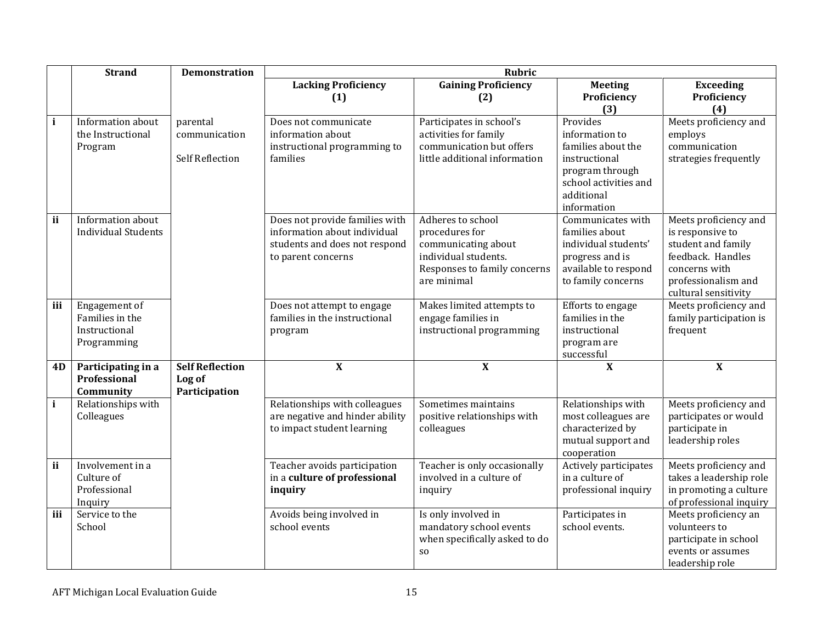|              | <b>Strand</b>                                                    | <b>Demonstration</b>                                |                                                                                                                       | <b>Rubric</b>                                                                                                                     |                                                                                                                                            |                                                                                                                                                      |
|--------------|------------------------------------------------------------------|-----------------------------------------------------|-----------------------------------------------------------------------------------------------------------------------|-----------------------------------------------------------------------------------------------------------------------------------|--------------------------------------------------------------------------------------------------------------------------------------------|------------------------------------------------------------------------------------------------------------------------------------------------------|
|              |                                                                  |                                                     | <b>Lacking Proficiency</b><br>(1)                                                                                     | <b>Gaining Proficiency</b><br>(2)                                                                                                 | <b>Meeting</b><br>Proficiency<br>(3)                                                                                                       | <b>Exceeding</b><br>Proficiency<br>(4)                                                                                                               |
| i            | Information about<br>the Instructional<br>Program                | parental<br>communication<br><b>Self Reflection</b> | Does not communicate<br>information about<br>instructional programming to<br>families                                 | Participates in school's<br>activities for family<br>communication but offers<br>little additional information                    | Provides<br>information to<br>families about the<br>instructional<br>program through<br>school activities and<br>additional<br>information | Meets proficiency and<br>employs<br>communication<br>strategies frequently                                                                           |
| ii           | Information about<br><b>Individual Students</b>                  |                                                     | Does not provide families with<br>information about individual<br>students and does not respond<br>to parent concerns | Adheres to school<br>procedures for<br>communicating about<br>individual students.<br>Responses to family concerns<br>are minimal | Communicates with<br>families about<br>individual students'<br>progress and is<br>available to respond<br>to family concerns               | Meets proficiency and<br>is responsive to<br>student and family<br>feedback. Handles<br>concerns with<br>professionalism and<br>cultural sensitivity |
| iii          | Engagement of<br>Families in the<br>Instructional<br>Programming |                                                     | Does not attempt to engage<br>families in the instructional<br>program                                                | Makes limited attempts to<br>engage families in<br>instructional programming                                                      | Efforts to engage<br>families in the<br>instructional<br>program are<br>successful                                                         | Meets proficiency and<br>family participation is<br>frequent                                                                                         |
| 4D           | Participating in a<br>Professional<br>Community                  | <b>Self Reflection</b><br>Log of<br>Participation   | $\overline{\mathbf{X}}$                                                                                               | $\mathbf{X}$                                                                                                                      | $\mathbf{X}$                                                                                                                               | $\mathbf{X}$                                                                                                                                         |
| $\mathbf{i}$ | Relationships with<br>Colleagues                                 |                                                     | Relationships with colleagues<br>are negative and hinder ability<br>to impact student learning                        | Sometimes maintains<br>positive relationships with<br>colleagues                                                                  | Relationships with<br>most colleagues are<br>characterized by<br>mutual support and<br>cooperation                                         | Meets proficiency and<br>participates or would<br>participate in<br>leadership roles                                                                 |
| ii           | Involvement in a<br>Culture of<br>Professional<br>Inquiry        |                                                     | Teacher avoids participation<br>in a culture of professional<br>inquiry                                               | Teacher is only occasionally<br>involved in a culture of<br>inquiry                                                               | Actively participates<br>in a culture of<br>professional inquiry                                                                           | Meets proficiency and<br>takes a leadership role<br>in promoting a culture<br>of professional inquiry                                                |
| iii          | Service to the<br>School                                         |                                                     | Avoids being involved in<br>school events                                                                             | Is only involved in<br>mandatory school events<br>when specifically asked to do<br>S <sub>O</sub>                                 | Participates in<br>school events.                                                                                                          | Meets proficiency an<br>volunteers to<br>participate in school<br>events or assumes<br>leadership role                                               |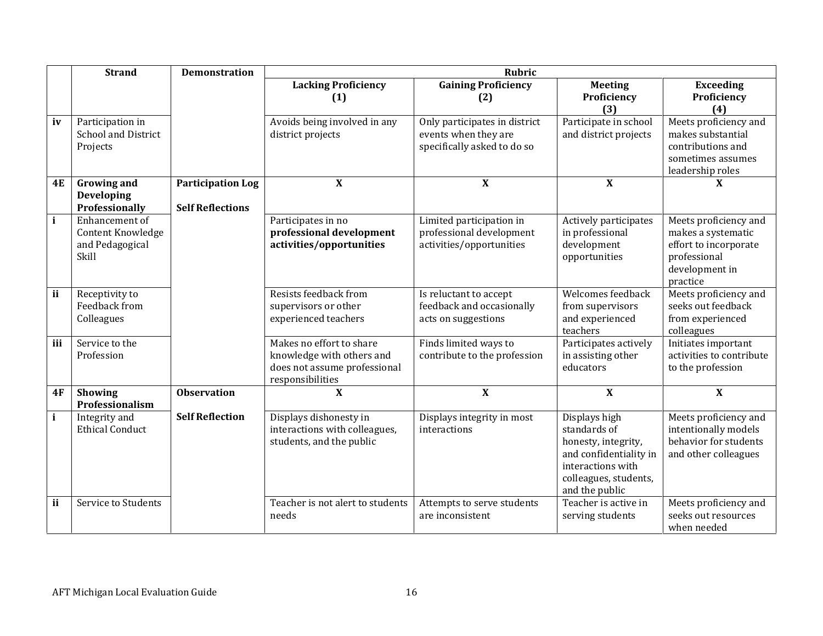|              | <b>Strand</b>                                                   | <b>Demonstration</b>                                | <b>Rubric</b>                                                                                             |                                                                                      |                                                                                                                                                |                                                                                                                    |  |  |
|--------------|-----------------------------------------------------------------|-----------------------------------------------------|-----------------------------------------------------------------------------------------------------------|--------------------------------------------------------------------------------------|------------------------------------------------------------------------------------------------------------------------------------------------|--------------------------------------------------------------------------------------------------------------------|--|--|
|              |                                                                 |                                                     | <b>Lacking Proficiency</b><br>(1)                                                                         | <b>Gaining Proficiency</b><br>(2)                                                    | <b>Meeting</b><br>Proficiency<br>(3)                                                                                                           | <b>Exceeding</b><br>Proficiency<br>(4)                                                                             |  |  |
| iv           | Participation in<br><b>School and District</b><br>Projects      |                                                     | Avoids being involved in any<br>district projects                                                         | Only participates in district<br>events when they are<br>specifically asked to do so | Participate in school<br>and district projects                                                                                                 | Meets proficiency and<br>makes substantial<br>contributions and<br>sometimes assumes<br>leadership roles           |  |  |
| <b>4E</b>    | <b>Growing and</b><br><b>Developing</b><br>Professionally       | <b>Participation Log</b><br><b>Self Reflections</b> | $\boldsymbol{\mathrm{X}}$                                                                                 | $\mathbf X$                                                                          | $\boldsymbol{\mathrm{X}}$                                                                                                                      | X                                                                                                                  |  |  |
| $\mathbf{i}$ | Enhancement of<br>Content Knowledge<br>and Pedagogical<br>Skill |                                                     | Participates in no<br>professional development<br>activities/opportunities                                | Limited participation in<br>professional development<br>activities/opportunities     | Actively participates<br>in professional<br>development<br>opportunities                                                                       | Meets proficiency and<br>makes a systematic<br>effort to incorporate<br>professional<br>development in<br>practice |  |  |
| ii           | Receptivity to<br>Feedback from<br>Colleagues                   |                                                     | Resists feedback from<br>supervisors or other<br>experienced teachers                                     | Is reluctant to accept<br>feedback and occasionally<br>acts on suggestions           | Welcomes feedback<br>from supervisors<br>and experienced<br>teachers                                                                           | Meets proficiency and<br>seeks out feedback<br>from experienced<br>colleagues                                      |  |  |
| iii          | Service to the<br>Profession                                    |                                                     | Makes no effort to share<br>knowledge with others and<br>does not assume professional<br>responsibilities | Finds limited ways to<br>contribute to the profession                                | Participates actively<br>in assisting other<br>educators                                                                                       | Initiates important<br>activities to contribute<br>to the profession                                               |  |  |
| 4F           | <b>Showing</b><br>Professionalism                               | <b>Observation</b>                                  | $\mathbf{X}$                                                                                              | $\mathbf X$                                                                          | $\boldsymbol{\mathrm{X}}$                                                                                                                      | $\mathbf{X}$                                                                                                       |  |  |
| $\mathbf{i}$ | Integrity and<br><b>Ethical Conduct</b>                         | <b>Self Reflection</b>                              | Displays dishonesty in<br>interactions with colleagues,<br>students, and the public                       | Displays integrity in most<br>interactions                                           | Displays high<br>standards of<br>honesty, integrity,<br>and confidentiality in<br>interactions with<br>colleagues, students,<br>and the public | Meets proficiency and<br>intentionally models<br>behavior for students<br>and other colleagues                     |  |  |
| ii           | Service to Students                                             |                                                     | Teacher is not alert to students<br>needs                                                                 | Attempts to serve students<br>are inconsistent                                       | Teacher is active in<br>serving students                                                                                                       | Meets proficiency and<br>seeks out resources<br>when needed                                                        |  |  |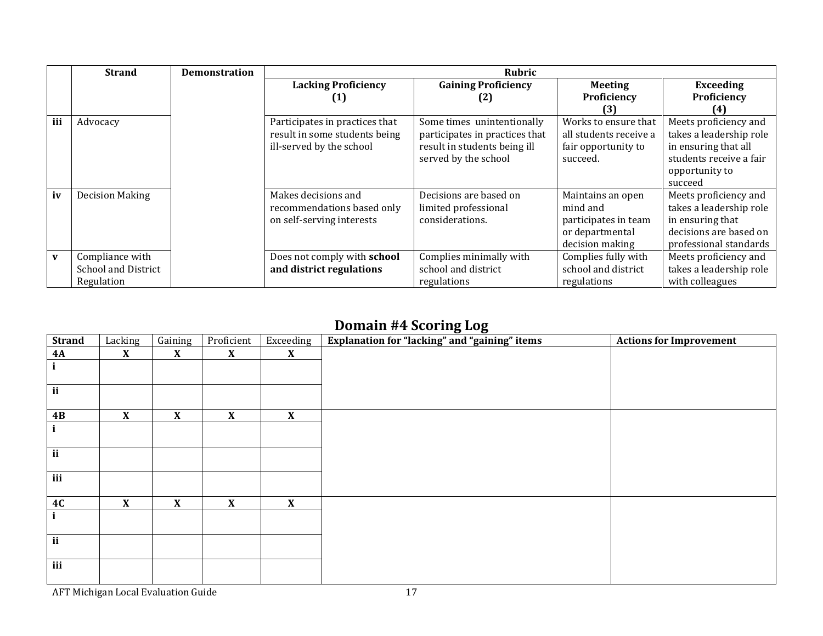|     | <b>Strand</b>              | <b>Demonstration</b> |                                | <b>Rubric</b>                  |                        |                         |
|-----|----------------------------|----------------------|--------------------------------|--------------------------------|------------------------|-------------------------|
|     |                            |                      | <b>Lacking Proficiency</b>     | <b>Gaining Proficiency</b>     | <b>Meeting</b>         | <b>Exceeding</b>        |
|     |                            |                      | UJ                             | (2)                            | Proficiency            | Proficiency             |
|     |                            |                      |                                |                                | 131                    |                         |
| iii | Advocacy                   |                      | Participates in practices that | Some times unintentionally     | Works to ensure that   | Meets proficiency and   |
|     |                            |                      | result in some students being  | participates in practices that | all students receive a | takes a leadership role |
|     |                            |                      | ill-served by the school       | result in students being ill   | fair opportunity to    | in ensuring that all    |
|     |                            |                      |                                | served by the school           | succeed.               | students receive a fair |
|     |                            |                      |                                |                                |                        | opportunity to          |
|     |                            |                      |                                |                                |                        | succeed                 |
| iv  | <b>Decision Making</b>     |                      | Makes decisions and            | Decisions are based on         | Maintains an open      | Meets proficiency and   |
|     |                            |                      | recommendations based only     | limited professional           | mind and               | takes a leadership role |
|     |                            |                      | on self-serving interests      | considerations.                | participates in team   | in ensuring that        |
|     |                            |                      |                                |                                | or departmental        | decisions are based on  |
|     |                            |                      |                                |                                | decision making        | professional standards  |
| V   | Compliance with            |                      | Does not comply with school    | Complies minimally with        | Complies fully with    | Meets proficiency and   |
|     | <b>School and District</b> |                      | and district regulations       | school and district            | school and district    | takes a leadership role |
|     | Regulation                 |                      |                                | regulations                    | regulations            | with colleagues         |

## Domain #4 Scoring Log

| <b>Strand</b> | Lacking                   | Gaining            | Proficient                | Exceeding                 | Explanation for "lacking" and "gaining" items | <b>Actions for Improvement</b> |
|---------------|---------------------------|--------------------|---------------------------|---------------------------|-----------------------------------------------|--------------------------------|
| <b>4A</b>     | X                         | $\mathbf{X}$       | $\mathbf{X}$              | X                         |                                               |                                |
|               |                           |                    |                           |                           |                                               |                                |
|               |                           |                    |                           |                           |                                               |                                |
| ii            |                           |                    |                           |                           |                                               |                                |
|               |                           |                    |                           |                           |                                               |                                |
| 4B            | $\pmb{\mathsf{X}}$        | $\pmb{\mathsf{X}}$ | $\boldsymbol{\mathrm{X}}$ | $\boldsymbol{\mathrm{X}}$ |                                               |                                |
|               |                           |                    |                           |                           |                                               |                                |
|               |                           |                    |                           |                           |                                               |                                |
| $\mathbf{ii}$ |                           |                    |                           |                           |                                               |                                |
|               |                           |                    |                           |                           |                                               |                                |
| iii           |                           |                    |                           |                           |                                               |                                |
|               |                           |                    |                           | $\boldsymbol{\mathrm{X}}$ |                                               |                                |
| 4C            | $\boldsymbol{\mathrm{X}}$ | $\mathbf{X}$       | $\mathbf{X}$              |                           |                                               |                                |
| i             |                           |                    |                           |                           |                                               |                                |
| ii            |                           |                    |                           |                           |                                               |                                |
|               |                           |                    |                           |                           |                                               |                                |
| iii           |                           |                    |                           |                           |                                               |                                |
|               |                           |                    |                           |                           |                                               |                                |
|               |                           |                    |                           |                           |                                               |                                |

AFT Michigan Local Evaluation Guide 17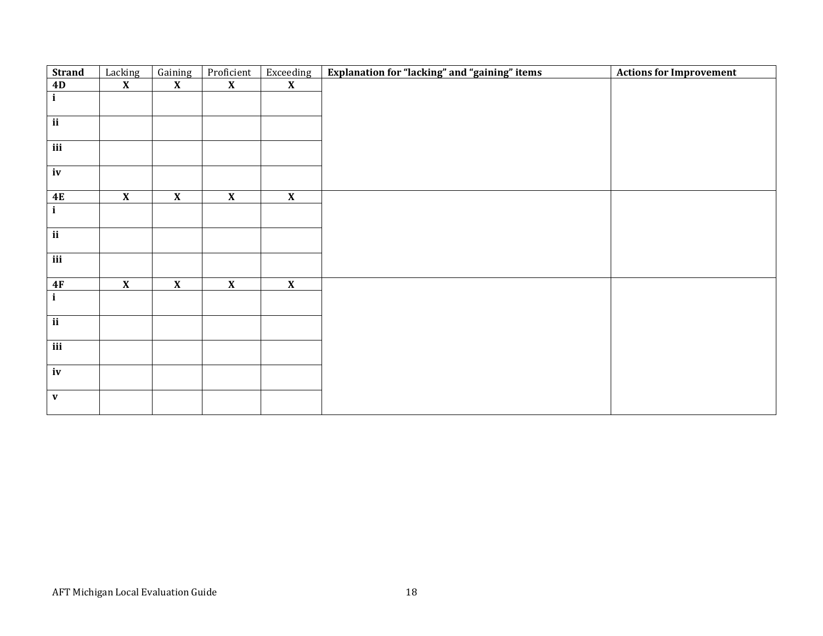| <b>Strand</b>            | Lacking                 | Gaining                 | Proficient              | Exceeding               | Explanation for "lacking" and "gaining" items | <b>Actions for Improvement</b> |
|--------------------------|-------------------------|-------------------------|-------------------------|-------------------------|-----------------------------------------------|--------------------------------|
| 4D                       | $\overline{\mathbf{X}}$ | $\overline{\mathbf{X}}$ | $\overline{\mathbf{X}}$ | $\overline{\mathbf{X}}$ |                                               |                                |
| $\mathbf{i}$             |                         |                         |                         |                         |                                               |                                |
|                          |                         |                         |                         |                         |                                               |                                |
| $\overline{ii}$          |                         |                         |                         |                         |                                               |                                |
|                          |                         |                         |                         |                         |                                               |                                |
| $\overline{\text{iii}}$  |                         |                         |                         |                         |                                               |                                |
|                          |                         |                         |                         |                         |                                               |                                |
| iv                       |                         |                         |                         |                         |                                               |                                |
|                          |                         |                         |                         |                         |                                               |                                |
| 4E                       | $\overline{\mathbf{X}}$ | $\overline{\mathbf{X}}$ | $\overline{\mathbf{X}}$ | $\overline{\mathbf{X}}$ |                                               |                                |
| $\mathbf{i}$             |                         |                         |                         |                         |                                               |                                |
|                          |                         |                         |                         |                         |                                               |                                |
| $\overline{\mathbf{ii}}$ |                         |                         |                         |                         |                                               |                                |
|                          |                         |                         |                         |                         |                                               |                                |
| $\overline{\text{iii}}$  |                         |                         |                         |                         |                                               |                                |
|                          |                         |                         |                         |                         |                                               |                                |
| 4F                       | $\overline{\mathbf{X}}$ | $\overline{\mathbf{X}}$ | $\overline{\mathbf{X}}$ | $\overline{\mathbf{X}}$ |                                               |                                |
| $\mathbf{i}$             |                         |                         |                         |                         |                                               |                                |
|                          |                         |                         |                         |                         |                                               |                                |
| $\overline{\mathbf{ii}}$ |                         |                         |                         |                         |                                               |                                |
|                          |                         |                         |                         |                         |                                               |                                |
| iii                      |                         |                         |                         |                         |                                               |                                |
|                          |                         |                         |                         |                         |                                               |                                |
| $\mathbf{iv}$            |                         |                         |                         |                         |                                               |                                |
|                          |                         |                         |                         |                         |                                               |                                |
| $\mathbf{V}$             |                         |                         |                         |                         |                                               |                                |
|                          |                         |                         |                         |                         |                                               |                                |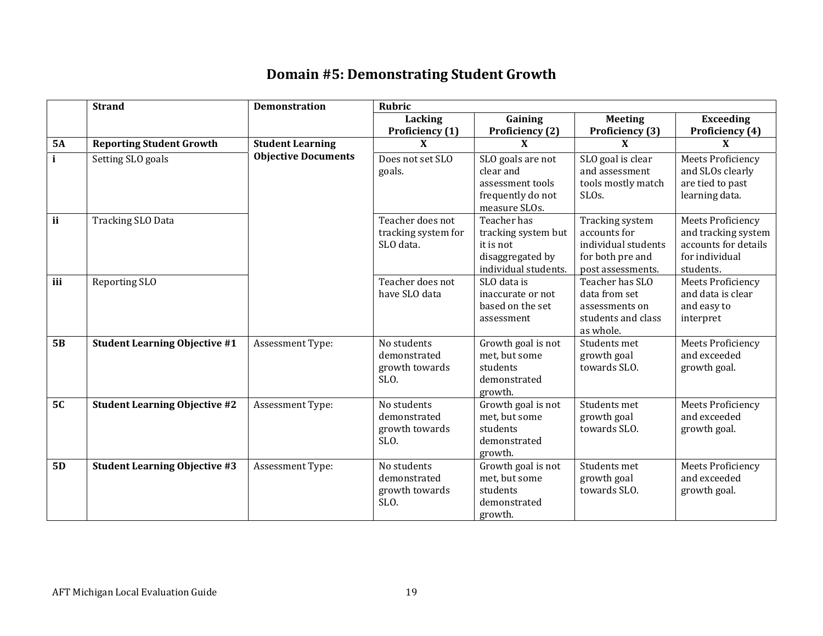## Domain #5: Demonstrating Student Growth

|                  | <b>Strand</b>                        | <b>Demonstration</b>       | <b>Rubric</b>                                         |                                                                                             |                                                                                                 |                                                                                                        |  |  |
|------------------|--------------------------------------|----------------------------|-------------------------------------------------------|---------------------------------------------------------------------------------------------|-------------------------------------------------------------------------------------------------|--------------------------------------------------------------------------------------------------------|--|--|
|                  |                                      |                            | Lacking                                               | Gaining                                                                                     | <b>Meeting</b>                                                                                  | <b>Exceeding</b>                                                                                       |  |  |
|                  |                                      |                            | <b>Proficiency</b> (1)                                | Proficiency (2)                                                                             | Proficiency (3)                                                                                 | Proficiency (4)                                                                                        |  |  |
| <b>5A</b>        | <b>Reporting Student Growth</b>      | <b>Student Learning</b>    | X                                                     | X                                                                                           | X                                                                                               | X                                                                                                      |  |  |
| $\mathbf{i}$     | Setting SLO goals                    | <b>Objective Documents</b> | Does not set SLO<br>goals.                            | SLO goals are not<br>clear and<br>assessment tools<br>frequently do not<br>measure SLOs.    | SLO goal is clear<br>and assessment<br>tools mostly match<br>SLO <sub>s</sub> .                 | <b>Meets Proficiency</b><br>and SLOs clearly<br>are tied to past<br>learning data.                     |  |  |
| ii               | <b>Tracking SLO Data</b>             |                            | Teacher does not<br>tracking system for<br>SLO data.  | Teacher has<br>tracking system but<br>it is not<br>disaggregated by<br>individual students. | Tracking system<br>accounts for<br>individual students<br>for both pre and<br>post assessments. | <b>Meets Proficiency</b><br>and tracking system<br>accounts for details<br>for individual<br>students. |  |  |
| $\overline{iii}$ | Reporting SLO                        |                            | Teacher does not<br>have SLO data                     | SLO data is<br>inaccurate or not<br>based on the set<br>assessment                          | Teacher has SLO<br>data from set<br>assessments on<br>students and class<br>as whole.           | <b>Meets Proficiency</b><br>and data is clear<br>and easy to<br>interpret                              |  |  |
| 5B               | <b>Student Learning Objective #1</b> | Assessment Type:           | No students<br>demonstrated<br>growth towards<br>SLO. | Growth goal is not<br>met, but some<br>students<br>demonstrated<br>growth.                  | Students met<br>growth goal<br>towards SLO.                                                     | <b>Meets Proficiency</b><br>and exceeded<br>growth goal.                                               |  |  |
| 5C               | <b>Student Learning Objective #2</b> | Assessment Type:           | No students<br>demonstrated<br>growth towards<br>SLO. | Growth goal is not<br>met, but some<br>students<br>demonstrated<br>growth.                  | Students met<br>growth goal<br>towards SLO.                                                     | <b>Meets Proficiency</b><br>and exceeded<br>growth goal.                                               |  |  |
| 5D               | <b>Student Learning Objective #3</b> | Assessment Type:           | No students<br>demonstrated<br>growth towards<br>SLO. | Growth goal is not<br>met, but some<br>students<br>demonstrated<br>growth.                  | Students met<br>growth goal<br>towards SLO.                                                     | <b>Meets Proficiency</b><br>and exceeded<br>growth goal.                                               |  |  |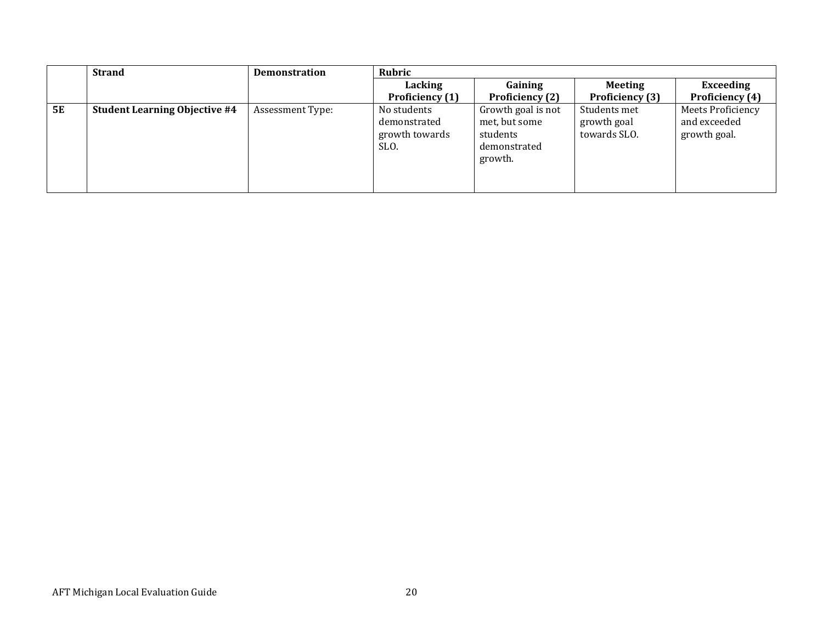|    | <b>Strand</b>                        | <b>Demonstration</b> | Rubric                                                |                                                                            |                                             |                                                          |
|----|--------------------------------------|----------------------|-------------------------------------------------------|----------------------------------------------------------------------------|---------------------------------------------|----------------------------------------------------------|
|    |                                      |                      | Lacking                                               | Gaining                                                                    | <b>Meeting</b>                              | Exceeding                                                |
|    |                                      |                      | Proficiency (1)                                       | Proficiency (2)                                                            | Proficiency (3)                             | Proficiency (4)                                          |
| 5E | <b>Student Learning Objective #4</b> | Assessment Type:     | No students<br>demonstrated<br>growth towards<br>SLO. | Growth goal is not<br>met, but some<br>students<br>demonstrated<br>growth. | Students met<br>growth goal<br>towards SLO. | <b>Meets Proficiency</b><br>and exceeded<br>growth goal. |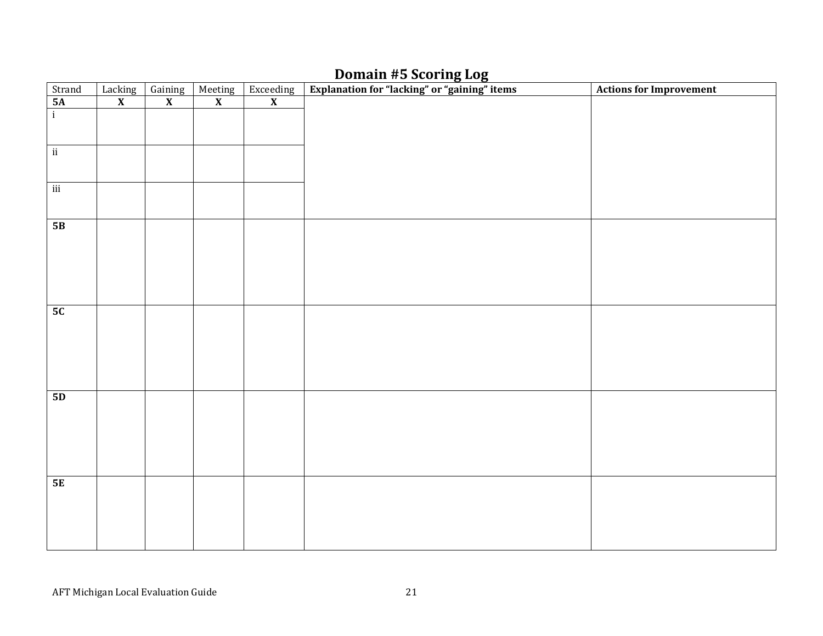## Domain #5 Scoring Log

| Strand                   | Lacking                 | Gaining                 | Meeting                 | $\begin{array}{c}\n\text{Exceeding} \\ \textbf{X}\n\end{array}$ | Explanation for "lacking" or "gaining" items | <b>Actions for Improvement</b> |
|--------------------------|-------------------------|-------------------------|-------------------------|-----------------------------------------------------------------|----------------------------------------------|--------------------------------|
| $\frac{5A}{i}$           | $\overline{\mathbf{X}}$ | $\overline{\mathbf{X}}$ | $\overline{\mathbf{X}}$ |                                                                 |                                              |                                |
|                          |                         |                         |                         |                                                                 |                                              |                                |
|                          |                         |                         |                         |                                                                 |                                              |                                |
|                          |                         |                         |                         |                                                                 |                                              |                                |
| $\overline{\textbf{ii}}$ |                         |                         |                         |                                                                 |                                              |                                |
|                          |                         |                         |                         |                                                                 |                                              |                                |
| iii                      |                         |                         |                         |                                                                 |                                              |                                |
|                          |                         |                         |                         |                                                                 |                                              |                                |
|                          |                         |                         |                         |                                                                 |                                              |                                |
| 5B                       |                         |                         |                         |                                                                 |                                              |                                |
|                          |                         |                         |                         |                                                                 |                                              |                                |
|                          |                         |                         |                         |                                                                 |                                              |                                |
|                          |                         |                         |                         |                                                                 |                                              |                                |
|                          |                         |                         |                         |                                                                 |                                              |                                |
|                          |                         |                         |                         |                                                                 |                                              |                                |
| 5C                       |                         |                         |                         |                                                                 |                                              |                                |
|                          |                         |                         |                         |                                                                 |                                              |                                |
|                          |                         |                         |                         |                                                                 |                                              |                                |
|                          |                         |                         |                         |                                                                 |                                              |                                |
|                          |                         |                         |                         |                                                                 |                                              |                                |
|                          |                         |                         |                         |                                                                 |                                              |                                |
| 5D                       |                         |                         |                         |                                                                 |                                              |                                |
|                          |                         |                         |                         |                                                                 |                                              |                                |
|                          |                         |                         |                         |                                                                 |                                              |                                |
|                          |                         |                         |                         |                                                                 |                                              |                                |
|                          |                         |                         |                         |                                                                 |                                              |                                |
|                          |                         |                         |                         |                                                                 |                                              |                                |
| 5E                       |                         |                         |                         |                                                                 |                                              |                                |
|                          |                         |                         |                         |                                                                 |                                              |                                |
|                          |                         |                         |                         |                                                                 |                                              |                                |
|                          |                         |                         |                         |                                                                 |                                              |                                |
|                          |                         |                         |                         |                                                                 |                                              |                                |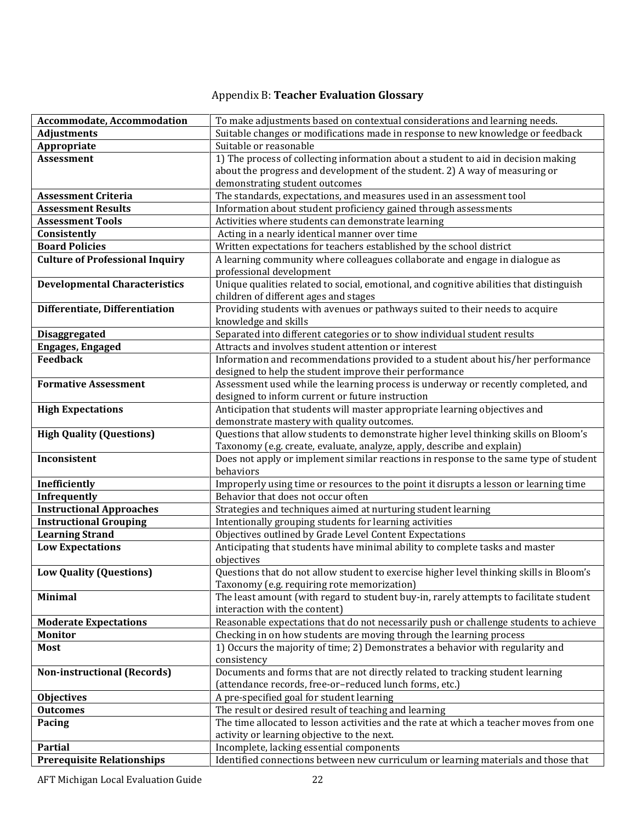# Appendix B: Teacher Evaluation Glossary

| Accommodate, Accommodation             | To make adjustments based on contextual considerations and learning needs.                                                            |
|----------------------------------------|---------------------------------------------------------------------------------------------------------------------------------------|
| <b>Adjustments</b>                     | Suitable changes or modifications made in response to new knowledge or feedback                                                       |
| Appropriate                            | Suitable or reasonable                                                                                                                |
| <b>Assessment</b>                      | 1) The process of collecting information about a student to aid in decision making                                                    |
|                                        | about the progress and development of the student. 2) A way of measuring or                                                           |
|                                        | demonstrating student outcomes                                                                                                        |
| <b>Assessment Criteria</b>             | The standards, expectations, and measures used in an assessment tool                                                                  |
| <b>Assessment Results</b>              | Information about student proficiency gained through assessments                                                                      |
| <b>Assessment Tools</b>                | Activities where students can demonstrate learning                                                                                    |
| Consistently                           | Acting in a nearly identical manner over time                                                                                         |
| <b>Board Policies</b>                  | Written expectations for teachers established by the school district                                                                  |
| <b>Culture of Professional Inquiry</b> | A learning community where colleagues collaborate and engage in dialogue as                                                           |
|                                        | professional development                                                                                                              |
| <b>Developmental Characteristics</b>   | Unique qualities related to social, emotional, and cognitive abilities that distinguish                                               |
|                                        | children of different ages and stages                                                                                                 |
| Differentiate, Differentiation         | Providing students with avenues or pathways suited to their needs to acquire                                                          |
|                                        | knowledge and skills                                                                                                                  |
| <b>Disaggregated</b>                   | Separated into different categories or to show individual student results                                                             |
| <b>Engages, Engaged</b>                | Attracts and involves student attention or interest                                                                                   |
| <b>Feedback</b>                        | Information and recommendations provided to a student about his/her performance                                                       |
|                                        | designed to help the student improve their performance                                                                                |
| <b>Formative Assessment</b>            | Assessment used while the learning process is underway or recently completed, and                                                     |
|                                        | designed to inform current or future instruction                                                                                      |
| <b>High Expectations</b>               | Anticipation that students will master appropriate learning objectives and                                                            |
|                                        | demonstrate mastery with quality outcomes.                                                                                            |
| <b>High Quality (Questions)</b>        | Questions that allow students to demonstrate higher level thinking skills on Bloom's                                                  |
|                                        | Taxonomy (e.g. create, evaluate, analyze, apply, describe and explain)                                                                |
| Inconsistent                           | Does not apply or implement similar reactions in response to the same type of student                                                 |
|                                        | behaviors                                                                                                                             |
| Inefficiently                          | Improperly using time or resources to the point it disrupts a lesson or learning time                                                 |
| <b>Infrequently</b>                    | Behavior that does not occur often                                                                                                    |
| <b>Instructional Approaches</b>        | Strategies and techniques aimed at nurturing student learning                                                                         |
| <b>Instructional Grouping</b>          | Intentionally grouping students for learning activities                                                                               |
| <b>Learning Strand</b>                 | Objectives outlined by Grade Level Content Expectations                                                                               |
| <b>Low Expectations</b>                | Anticipating that students have minimal ability to complete tasks and master                                                          |
|                                        | objectives                                                                                                                            |
| <b>Low Quality (Questions)</b>         | Questions that do not allow student to exercise higher level thinking skills in Bloom's                                               |
| <b>Minimal</b>                         | Taxonomy (e.g. requiring rote memorization)<br>The least amount (with regard to student buy-in, rarely attempts to facilitate student |
|                                        | interaction with the content)                                                                                                         |
| <b>Moderate Expectations</b>           | Reasonable expectations that do not necessarily push or challenge students to achieve                                                 |
| <b>Monitor</b>                         | Checking in on how students are moving through the learning process                                                                   |
| <b>Most</b>                            | 1) Occurs the majority of time; 2) Demonstrates a behavior with regularity and                                                        |
|                                        | consistency                                                                                                                           |
| <b>Non-instructional (Records)</b>     | Documents and forms that are not directly related to tracking student learning                                                        |
|                                        | (attendance records, free-or-reduced lunch forms, etc.)                                                                               |
| <b>Objectives</b>                      | A pre-specified goal for student learning                                                                                             |
| <b>Outcomes</b>                        | The result or desired result of teaching and learning                                                                                 |
| <b>Pacing</b>                          | The time allocated to lesson activities and the rate at which a teacher moves from one                                                |
|                                        | activity or learning objective to the next.                                                                                           |
| <b>Partial</b>                         | Incomplete, lacking essential components                                                                                              |
| <b>Prerequisite Relationships</b>      | Identified connections between new curriculum or learning materials and those that                                                    |